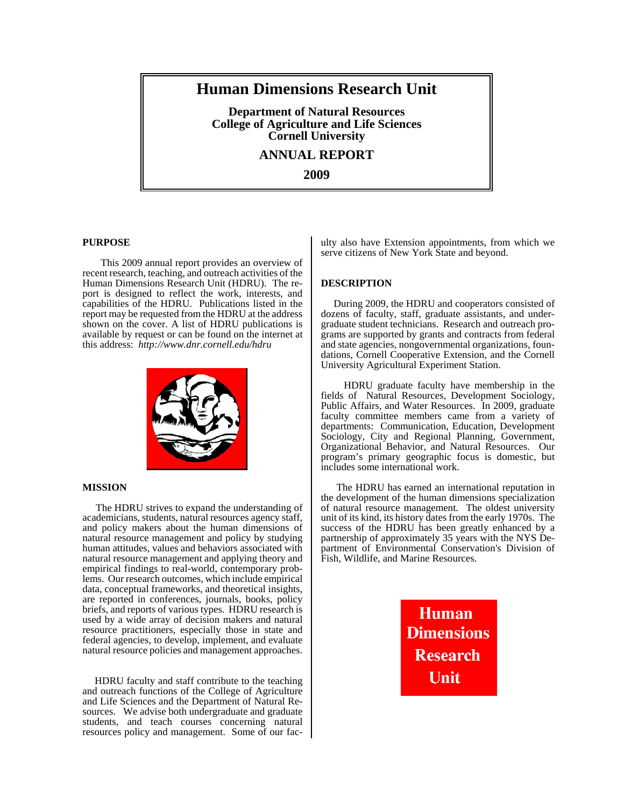# **Human Dimensions Research Unit**

**Department of Natural Resources College of Agriculture and Life Sciences Cornell University**

**ANNUAL REPORT**

**2009**

## **PURPOSE**

This 2009 annual report provides an overview of recent research, teaching, and outreach activities of the Human Dimensions Research Unit (HDRU). The report is designed to reflect the work, interests, and capabilities of the HDRU. Publications listed in the report may be requested from the HDRU at the address shown on the cover. A list of HDRU publications is available by request or can be found on the internet at this address: *http://www.dnr.cornell.edu/hdru*



## **MISSION**

 The HDRU strives to expand the understanding of academicians, students, natural resources agency staff, and policy makers about the human dimensions of natural resource management and policy by studying human attitudes, values and behaviors associated with natural resource management and applying theory and empirical findings to real-world, contemporary problems. Our research outcomes, which include empirical data, conceptual frameworks, and theoretical insights, are reported in conferences, journals, books, policy briefs, and reports of various types. HDRU research is used by a wide array of decision makers and natural resource practitioners, especially those in state and federal agencies, to develop, implement, and evaluate natural resource policies and management approaches.

 HDRU faculty and staff contribute to the teaching and outreach functions of the College of Agriculture and Life Sciences and the Department of Natural Resources. We advise both undergraduate and graduate students, and teach courses concerning natural resources policy and management. Some of our faculty also have Extension appointments, from which we serve citizens of New York State and beyond.

## **DESCRIPTION**

 During 2009, the HDRU and cooperators consisted of dozens of faculty, staff, graduate assistants, and undergraduate student technicians. Research and outreach programs are supported by grants and contracts from federal and state agencies, nongovernmental organizations, foundations, Cornell Cooperative Extension, and the Cornell University Agricultural Experiment Station.

 HDRU graduate faculty have membership in the fields of Natural Resources, Development Sociology, Public Affairs, and Water Resources. In 2009, graduate faculty committee members came from a variety of departments: Communication, Education, Development Sociology, City and Regional Planning, Government, Organizational Behavior, and Natural Resources. Our program's primary geographic focus is domestic, but includes some international work.

 The HDRU has earned an international reputation in the development of the human dimensions specialization of natural resource management. The oldest university unit of its kind, its history dates from the early 1970s. The success of the HDRU has been greatly enhanced by a partnership of approximately 35 years with the NYS Department of Environmental Conservation's Division of Fish, Wildlife, and Marine Resources.

> **Human Dimensions Research** Unit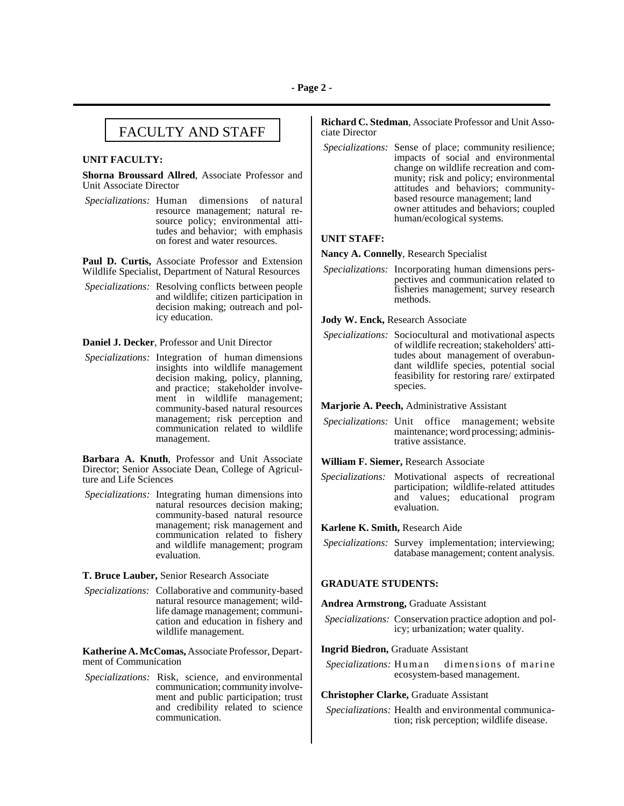# FACULTY AND STAFF

### **UNIT FACULTY:**

**Shorna Broussard Allred**, Associate Professor and Unit Associate Director

*Specializations:* Human dimensions of natural resource management; natural resource policy; environmental attitudes and behavior; with emphasis on forest and water resources.

**Paul D. Curtis,** Associate Professor and Extension Wildlife Specialist, Department of Natural Resources

*Specializations:* Resolving conflicts between people and wildlife; citizen participation in decision making; outreach and policy education.

### **Daniel J. Decker**, Professor and Unit Director

*Specializations:* Integration of human dimensions insights into wildlife management decision making, policy, planning, and practice; stakeholder involvement in wildlife management; community-based natural resources management; risk perception and communication related to wildlife management.

**Barbara A. Knuth**, Professor and Unit Associate Director; Senior Associate Dean, College of Agriculture and Life Sciences

*Specializations:* Integrating human dimensions into natural resources decision making; community-based natural resource management; risk management and communication related to fishery and wildlife management; program evaluation.

**T. Bruce Lauber,** Senior Research Associate

*Specializations:* Collaborative and community-based natural resource management; wildlife damage management; communication and education in fishery and wildlife management.

**Katherine A. McComas,** Associate Professor, Department of Communication

 *Specializations:* Risk, science, and environmental communication; community involvement and public participation; trust and credibility related to science communication.

**Richard C. Stedman**, Associate Professor and Unit Associate Director

*Specializations:* Sense of place; community resilience; impacts of social and environmental change on wildlife recreation and community; risk and policy; environmental attitudes and behaviors; communitybased resource management; land owner attitudes and behaviors; coupled human/ecological systems.

## **UNIT STAFF:**

**Nancy A. Connelly**, Research Specialist

*Specializations:* Incorporating human dimensions perspectives and communication related to fisheries management; survey research methods.

**Jody W. Enck,** Research Associate

*Specializations:* Sociocultural and motivational aspects of wildlife recreation; stakeholders' attitudes about management of overabundant wildlife species, potential social feasibility for restoring rare/ extirpated species.

**Marjorie A. Peech,** Administrative Assistant

*Specializations:* Unit office management; website maintenance; word processing; administrative assistance.

## **William F. Siemer,** Research Associate

*Specializations:* Motivational aspects of recreational participation; wildlife-related attitudes and values; educational program evaluation.

**Karlene K. Smith,** Research Aide

*Specializations:* Survey implementation; interviewing; database management; content analysis.

## **GRADUATE STUDENTS:**

**Andrea Armstrong,** Graduate Assistant

- *Specializations:* Conservation practice adoption and policy; urbanization; water quality.
- **Ingrid Biedron,** Graduate Assistant
- *Specializations:* Human dimensions of marine ecosystem-based management.

## **Christopher Clarke,** Graduate Assistant

 *Specializations:* Health and environmental communication; risk perception; wildlife disease.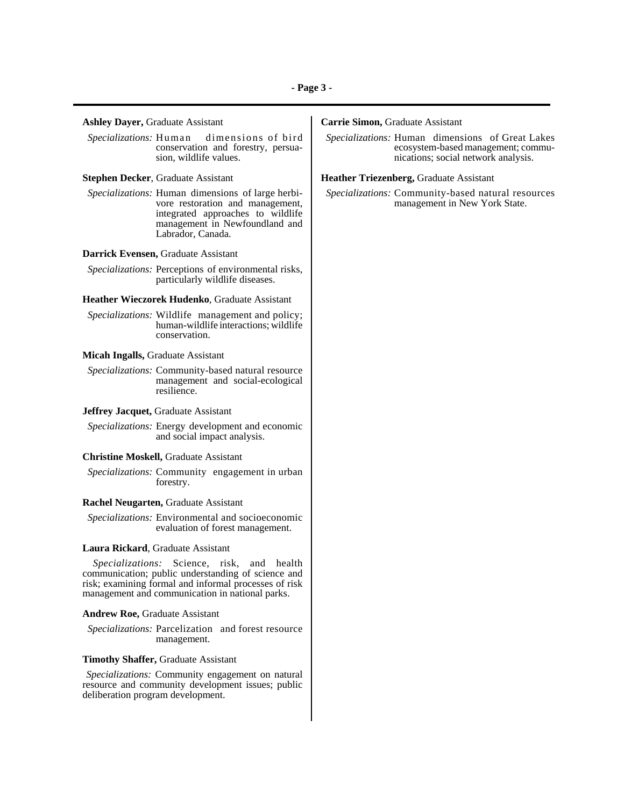### **Ashley Dayer,** Graduate Assistant

 *Specializations:* Human dimensions of bird conservation and forestry, persuasion, wildlife values.

**Stephen Decker**, Graduate Assistant

 *Specializations:* Human dimensions of large herbivore restoration and management, integrated approaches to wildlife management in Newfoundland and Labrador, Canada.

#### **Darrick Evensen,** Graduate Assistant

 *Specializations:* Perceptions of environmental risks, particularly wildlife diseases.

#### **Heather Wieczorek Hudenko**, Graduate Assistant

 *Specializations:* Wildlife management and policy; human-wildlife interactions; wildlife conservation.

### **Micah Ingalls,** Graduate Assistant

 *Specializations:* Community-based natural resource management and social-ecological resilience.

### **Jeffrey Jacquet,** Graduate Assistant

 *Specializations:* Energy development and economic and social impact analysis.

#### **Christine Moskell,** Graduate Assistant

 *Specializations:* Community engagement in urban forestry.

## **Rachel Neugarten,** Graduate Assistant

 *Specializations:* Environmental and socioeconomic evaluation of forest management.

#### **Laura Rickard**, Graduate Assistant

*Specializations:* Science, risk, and health communication; public understanding of science and risk; examining formal and informal processes of risk management and communication in national parks.

### **Andrew Roe,** Graduate Assistant

 *Specializations:* Parcelization and forest resource management.

#### **Timothy Shaffer,** Graduate Assistant

*Specializations:* Community engagement on natural resource and community development issues; public deliberation program development.

## **Carrie Simon,** Graduate Assistant

 *Specializations:* Human dimensions of Great Lakes ecosystem-based management; communications; social network analysis.

### **Heather Triezenberg,** Graduate Assistant

 *Specializations:* Community-based natural resources management in New York State.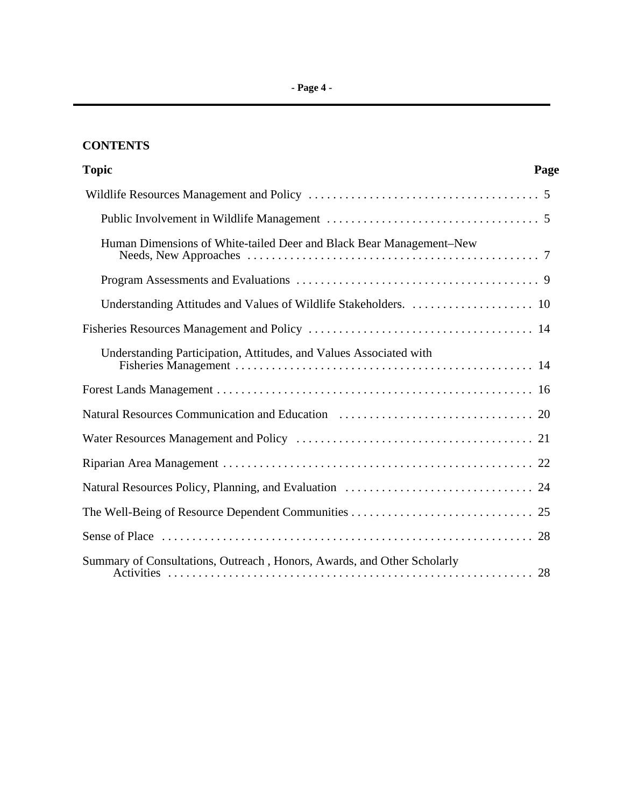# **CONTENTS**

| <b>Topic</b>                                                            | Page |
|-------------------------------------------------------------------------|------|
|                                                                         |      |
|                                                                         |      |
| Human Dimensions of White-tailed Deer and Black Bear Management-New     |      |
|                                                                         |      |
| Understanding Attitudes and Values of Wildlife Stakeholders.  10        |      |
|                                                                         |      |
| Understanding Participation, Attitudes, and Values Associated with      |      |
|                                                                         |      |
|                                                                         |      |
|                                                                         |      |
|                                                                         |      |
|                                                                         |      |
|                                                                         |      |
|                                                                         |      |
| Summary of Consultations, Outreach, Honors, Awards, and Other Scholarly |      |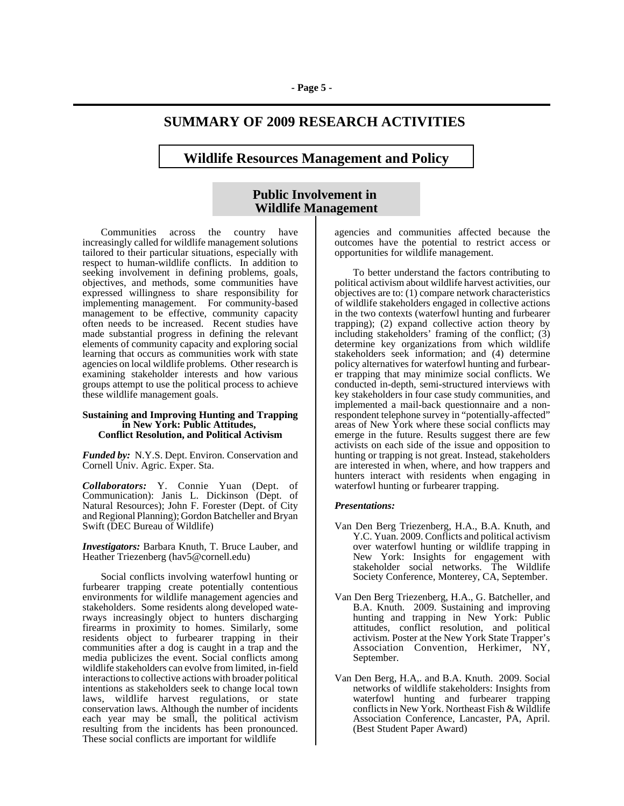# **SUMMARY OF 2009 RESEARCH ACTIVITIES**

## **Wildlife Resources Management and Policy**

## **Public Involvement in Wildlife Management**

Communities across the country have increasingly called for wildlife management solutions tailored to their particular situations, especially with respect to human-wildlife conflicts. In addition to seeking involvement in defining problems, goals, objectives, and methods, some communities have expressed willingness to share responsibility for implementing management. For community-based management to be effective, community capacity often needs to be increased. Recent studies have made substantial progress in defining the relevant elements of community capacity and exploring social learning that occurs as communities work with state agencies on local wildlife problems. Other research is examining stakeholder interests and how various groups attempt to use the political process to achieve these wildlife management goals.

#### **Sustaining and Improving Hunting and Trapping in New York: Public Attitudes, Conflict Resolution, and Political Activism**

*Funded by:* N.Y.S. Dept. Environ. Conservation and Cornell Univ. Agric. Exper. Sta.

*Collaborators:* Y. Connie Yuan (Dept. of Communication): Janis L. Dickinson (Dept. of Natural Resources); John F. Forester (Dept. of City and Regional Planning); Gordon Batcheller and Bryan Swift (DEC Bureau of Wildlife)

*Investigators:* Barbara Knuth, T. Bruce Lauber, and Heather Triezenberg (hav5@cornell.edu)

Social conflicts involving waterfowl hunting or furbearer trapping create potentially contentious environments for wildlife management agencies and stakeholders. Some residents along developed waterways increasingly object to hunters discharging firearms in proximity to homes. Similarly, some residents object to furbearer trapping in their communities after a dog is caught in a trap and the media publicizes the event. Social conflicts among wildlife stakeholders can evolve from limited, in-field interactions to collective actions with broader political intentions as stakeholders seek to change local town laws, wildlife harvest regulations, or state conservation laws. Although the number of incidents each year may be small, the political activism resulting from the incidents has been pronounced. These social conflicts are important for wildlife

agencies and communities affected because the outcomes have the potential to restrict access or opportunities for wildlife management.

To better understand the factors contributing to political activism about wildlife harvest activities, our objectives are to: (1) compare network characteristics of wildlife stakeholders engaged in collective actions in the two contexts (waterfowl hunting and furbearer trapping); (2) expand collective action theory by including stakeholders' framing of the conflict; (3) determine key organizations from which wildlife stakeholders seek information; and (4) determine policy alternatives for waterfowl hunting and furbearer trapping that may minimize social conflicts. We conducted in-depth, semi-structured interviews with key stakeholders in four case study communities, and implemented a mail-back questionnaire and a nonrespondent telephone survey in "potentially-affected" areas of New York where these social conflicts may emerge in the future. Results suggest there are few activists on each side of the issue and opposition to hunting or trapping is not great. Instead, stakeholders are interested in when, where, and how trappers and hunters interact with residents when engaging in waterfowl hunting or furbearer trapping.

## *Presentations:*

- Van Den Berg Triezenberg, H.A., B.A. Knuth, and Y.C. Yuan. 2009. Conflicts and political activism over waterfowl hunting or wildlife trapping in New York: Insights for engagement with stakeholder social networks. The Wildlife Society Conference, Monterey, CA, September.
- Van Den Berg Triezenberg, H.A., G. Batcheller, and B.A. Knuth. 2009. Sustaining and improving hunting and trapping in New York: Public attitudes, conflict resolution, and political activism. Poster at the New York State Trapper's Association Convention, Herkimer, NY, September.
- Van Den Berg, H.A,. and B.A. Knuth. 2009. Social networks of wildlife stakeholders: Insights from waterfowl hunting and furbearer trapping conflicts in New York. Northeast Fish & Wildlife Association Conference, Lancaster, PA, April. (Best Student Paper Award)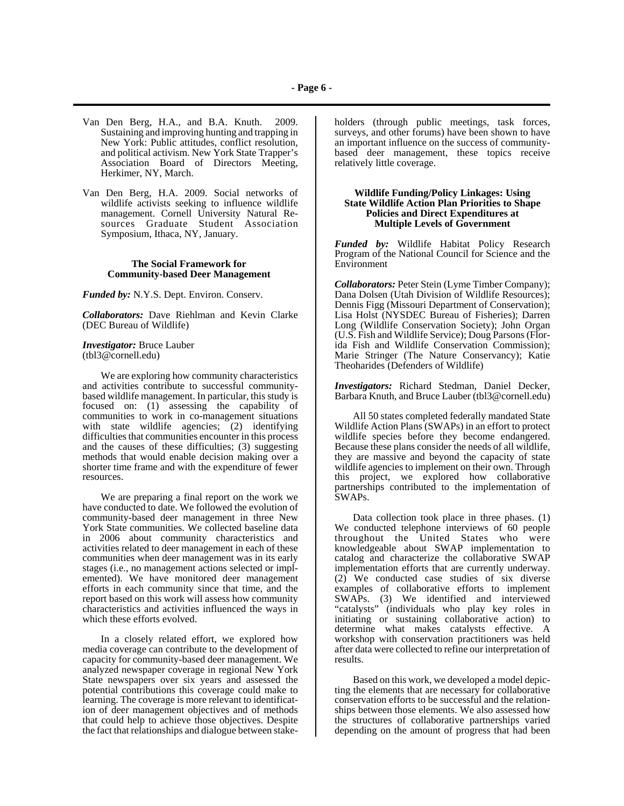- Van Den Berg, H.A., and B.A. Knuth. 2009. Sustaining and improving hunting and trapping in New York: Public attitudes, conflict resolution, and political activism. New York State Trapper's Association Board of Directors Meeting, Herkimer, NY, March.
- Van Den Berg, H.A. 2009. Social networks of wildlife activists seeking to influence wildlife management. Cornell University Natural Resources Graduate Student Association Symposium, Ithaca, NY, January.

## **The Social Framework for Community-based Deer Management**

*Funded by:* N.Y.S. Dept. Environ. Conserv.

*Collaborators:* Dave Riehlman and Kevin Clarke (DEC Bureau of Wildlife)

*Investigator:* Bruce Lauber (tbl3@cornell.edu)

We are exploring how community characteristics and activities contribute to successful communitybased wildlife management. In particular, this study is focused on: (1) assessing the capability of communities to work in co-management situations with state wildlife agencies; (2) identifying difficulties that communities encounter in this process and the causes of these difficulties; (3) suggesting methods that would enable decision making over a shorter time frame and with the expenditure of fewer resources.

We are preparing a final report on the work we have conducted to date. We followed the evolution of community-based deer management in three New York State communities. We collected baseline data in 2006 about community characteristics and activities related to deer management in each of these communities when deer management was in its early stages (i.e., no management actions selected or implemented). We have monitored deer management efforts in each community since that time, and the report based on this work will assess how community characteristics and activities influenced the ways in which these efforts evolved.

In a closely related effort, we explored how media coverage can contribute to the development of capacity for community-based deer management. We analyzed newspaper coverage in regional New York State newspapers over six years and assessed the potential contributions this coverage could make to learning. The coverage is more relevant to identification of deer management objectives and of methods that could help to achieve those objectives. Despite the fact that relationships and dialogue between stakeholders (through public meetings, task forces, surveys, and other forums) have been shown to have an important influence on the success of communitybased deer management, these topics receive relatively little coverage.

#### **Wildlife Funding/Policy Linkages: Using State Wildlife Action Plan Priorities to Shape Policies and Direct Expenditures at Multiple Levels of Government**

*Funded by:* Wildlife Habitat Policy Research Program of the National Council for Science and the Environment

*Collaborators:* Peter Stein (Lyme Timber Company); Dana Dolsen (Utah Division of Wildlife Resources); Dennis Figg (Missouri Department of Conservation); Lisa Holst (NYSDEC Bureau of Fisheries); Darren Long (Wildlife Conservation Society); John Organ (U.S. Fish and Wildlife Service); Doug Parsons (Florida Fish and Wildlife Conservation Commission); Marie Stringer (The Nature Conservancy); Katie Theoharides (Defenders of Wildlife)

*Investigators:* Richard Stedman, Daniel Decker, Barbara Knuth, and Bruce Lauber (tbl3@cornell.edu)

All 50 states completed federally mandated State Wildlife Action Plans (SWAPs) in an effort to protect wildlife species before they become endangered. Because these plans consider the needs of all wildlife, they are massive and beyond the capacity of state wildlife agencies to implement on their own. Through this project, we explored how collaborative partnerships contributed to the implementation of SWAPs.

Data collection took place in three phases. (1) We conducted telephone interviews of 60 people throughout the United States who were knowledgeable about SWAP implementation to catalog and characterize the collaborative SWAP implementation efforts that are currently underway. (2) We conducted case studies of six diverse examples of collaborative efforts to implement SWAPs. (3) We identified and interviewed "catalysts" (individuals who play key roles in initiating or sustaining collaborative action) to determine what makes catalysts effective. A workshop with conservation practitioners was held after data were collected to refine our interpretation of results.

Based on this work, we developed a model depicting the elements that are necessary for collaborative conservation efforts to be successful and the relationships between those elements. We also assessed how the structures of collaborative partnerships varied depending on the amount of progress that had been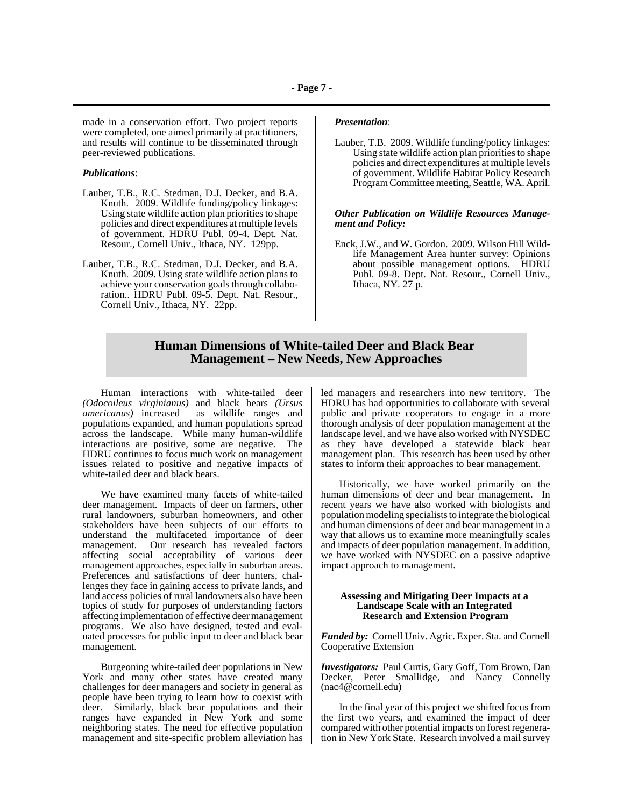made in a conservation effort. Two project reports were completed, one aimed primarily at practitioners, and results will continue to be disseminated through peer-reviewed publications.

#### *Publications*:

- Lauber, T.B., R.C. Stedman, D.J. Decker, and B.A. Knuth. 2009. Wildlife funding/policy linkages: Using state wildlife action plan priorities to shape policies and direct expenditures at multiple levels of government. HDRU Publ. 09-4. Dept. Nat. Resour., Cornell Univ., Ithaca, NY. 129pp.
- Lauber, T.B., R.C. Stedman, D.J. Decker, and B.A. Knuth. 2009. Using state wildlife action plans to achieve your conservation goals through collaboration.. HDRU Publ. 09-5. Dept. Nat. Resour., Cornell Univ., Ithaca, NY. 22pp.

#### *Presentation*:

Lauber, T.B. 2009. Wildlife funding/policy linkages: Using state wildlife action plan priorities to shape policies and direct expenditures at multiple levels of government. Wildlife Habitat Policy Research Program Committee meeting, Seattle, WA. April.

#### *Other Publication on Wildlife Resources Management and Policy:*

Enck, J.W., and W. Gordon. 2009. Wilson Hill Wildlife Management Area hunter survey: Opinions about possible management options. HDRU Publ. 09-8. Dept. Nat. Resour., Cornell Univ., Ithaca, NY.  $27 \text{ p.}$ 

## **Human Dimensions of White-tailed Deer and Black Bear Management – New Needs, New Approaches**

Human interactions with white-tailed deer *(Odocoileus virginianus)* and black bears *(Ursus* as wildlife ranges and populations expanded, and human populations spread across the landscape. While many human-wildlife interactions are positive, some are negative. The HDRU continues to focus much work on management issues related to positive and negative impacts of white-tailed deer and black bears.

We have examined many facets of white-tailed deer management. Impacts of deer on farmers, other rural landowners, suburban homeowners, and other stakeholders have been subjects of our efforts to understand the multifaceted importance of deer management. Our research has revealed factors affecting social acceptability of various deer management approaches, especially in suburban areas. Preferences and satisfactions of deer hunters, challenges they face in gaining access to private lands, and land access policies of rural landowners also have been topics of study for purposes of understanding factors affecting implementation of effective deer management programs. We also have designed, tested and evaluated processes for public input to deer and black bear management.

Burgeoning white-tailed deer populations in New York and many other states have created many challenges for deer managers and society in general as people have been trying to learn how to coexist with deer. Similarly, black bear populations and their ranges have expanded in New York and some neighboring states. The need for effective population management and site-specific problem alleviation has led managers and researchers into new territory. The HDRU has had opportunities to collaborate with several public and private cooperators to engage in a more thorough analysis of deer population management at the landscape level, and we have also worked with NYSDEC as they have developed a statewide black bear management plan. This research has been used by other states to inform their approaches to bear management.

Historically, we have worked primarily on the human dimensions of deer and bear management. In recent years we have also worked with biologists and population modeling specialists to integrate the biological and human dimensions of deer and bear management in a way that allows us to examine more meaningfully scales and impacts of deer population management. In addition, we have worked with NYSDEC on a passive adaptive impact approach to management.

#### **Assessing and Mitigating Deer Impacts at a Landscape Scale with an Integrated Research and Extension Program**

*Funded by:* Cornell Univ. Agric. Exper. Sta. and Cornell Cooperative Extension

*Investigators:* Paul Curtis, Gary Goff, Tom Brown, Dan Decker, Peter Smallidge, and Nancy Connelly (nac4@cornell.edu)

In the final year of this project we shifted focus from the first two years, and examined the impact of deer compared with other potential impacts on forest regeneration in New York State. Research involved a mail survey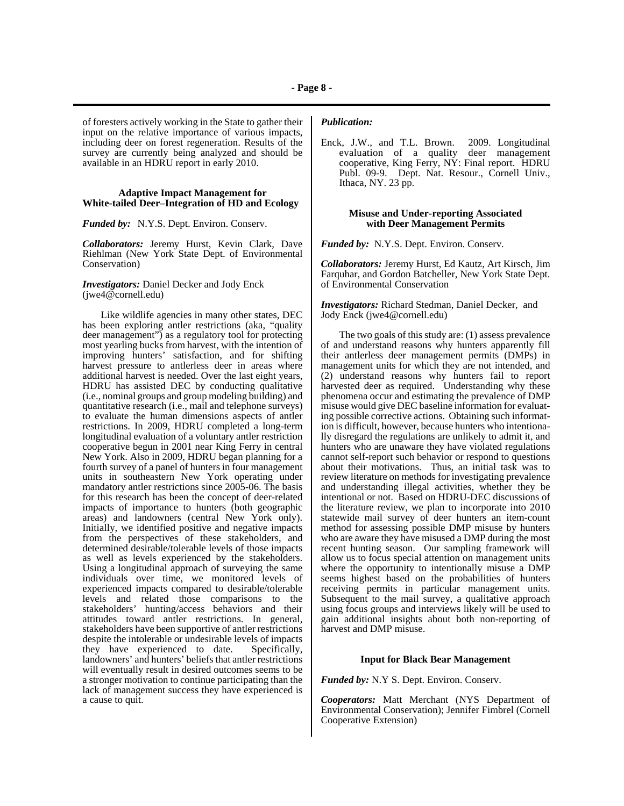of foresters actively working in the State to gather their input on the relative importance of various impacts, including deer on forest regeneration. Results of the survey are currently being analyzed and should be available in an HDRU report in early 2010.

#### **Adaptive Impact Management for White-tailed Deer–Integration of HD and Ecology**

*Funded by:* N.Y.S. Dept. Environ. Conserv.

*Collaborators:* Jeremy Hurst, Kevin Clark, Dave Riehlman (New York State Dept. of Environmental Conservation)

## *Investigators:* Daniel Decker and Jody Enck (jwe4@cornell.edu)

Like wildlife agencies in many other states, DEC has been exploring antler restrictions (aka, "quality deer management") as a regulatory tool for protecting most yearling bucks from harvest, with the intention of improving hunters' satisfaction, and for shifting harvest pressure to antlerless deer in areas where additional harvest is needed. Over the last eight years, HDRU has assisted DEC by conducting qualitative (i.e., nominal groups and group modeling building) and quantitative research (i.e., mail and telephone surveys) to evaluate the human dimensions aspects of antler restrictions. In 2009, HDRU completed a long-term longitudinal evaluation of a voluntary antler restriction cooperative begun in 2001 near King Ferry in central New York. Also in 2009, HDRU began planning for a fourth survey of a panel of hunters in four management units in southeastern New York operating under mandatory antler restrictions since 2005-06. The basis for this research has been the concept of deer-related impacts of importance to hunters (both geographic areas) and landowners (central New York only). Initially, we identified positive and negative impacts from the perspectives of these stakeholders, and determined desirable/tolerable levels of those impacts as well as levels experienced by the stakeholders. Using a longitudinal approach of surveying the same individuals over time, we monitored levels of experienced impacts compared to desirable/tolerable levels and related those comparisons to the stakeholders' hunting/access behaviors and their attitudes toward antler restrictions. In general, stakeholders have been supportive of antler restrictions despite the intolerable or undesirable levels of impacts they have experienced to date. Specifically, landowners' and hunters' beliefs that antler restrictions will eventually result in desired outcomes seems to be a stronger motivation to continue participating than the lack of management success they have experienced is a cause to quit.

## *Publication:*

Enck, J.W., and T.L. Brown. 2009. Longitudinal evaluation of a quality deer management cooperative, King Ferry, NY: Final report. HDRU Publ. 09-9. Dept. Nat. Resour., Cornell Univ., Ithaca, NY. 23 pp.

#### **Misuse and Under-reporting Associated with Deer Management Permits**

*Funded by:* N.Y.S. Dept. Environ. Conserv.

*Collaborators:* Jeremy Hurst, Ed Kautz, Art Kirsch, Jim Farquhar, and Gordon Batcheller, New York State Dept. of Environmental Conservation

*Investigators:* Richard Stedman, Daniel Decker, and Jody Enck (jwe4@cornell.edu)

The two goals of this study are: (1) assess prevalence of and understand reasons why hunters apparently fill their antlerless deer management permits (DMPs) in management units for which they are not intended, and (2) understand reasons why hunters fail to report harvested deer as required. Understanding why these phenomena occur and estimating the prevalence of DMP misuse would give DEC baseline information for evaluating possible corrective actions. Obtaining such information is difficult, however, because hunters who intentionally disregard the regulations are unlikely to admit it, and hunters who are unaware they have violated regulations cannot self-report such behavior or respond to questions about their motivations. Thus, an initial task was to review literature on methods for investigating prevalence and understanding illegal activities, whether they be intentional or not. Based on HDRU-DEC discussions of the literature review, we plan to incorporate into 2010 statewide mail survey of deer hunters an item-count method for assessing possible DMP misuse by hunters who are aware they have misused a DMP during the most recent hunting season. Our sampling framework will allow us to focus special attention on management units where the opportunity to intentionally misuse a DMP seems highest based on the probabilities of hunters receiving permits in particular management units. Subsequent to the mail survey, a qualitative approach using focus groups and interviews likely will be used to gain additional insights about both non-reporting of harvest and DMP misuse.

### **Input for Black Bear Management**

*Funded by:* N.Y S. Dept. Environ. Conserv.

*Cooperators:* Matt Merchant (NYS Department of Environmental Conservation); Jennifer Fimbrel (Cornell Cooperative Extension)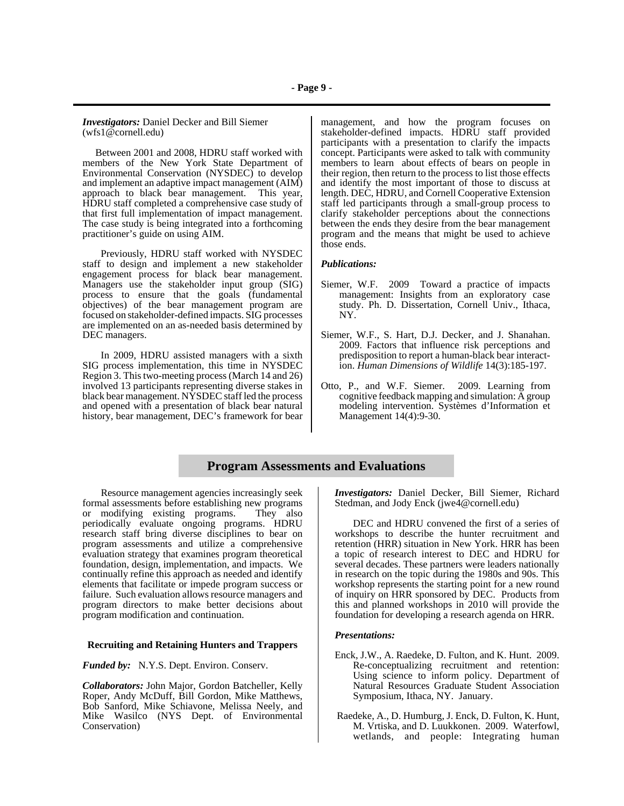*Investigators:* Daniel Decker and Bill Siemer (wfs1@cornell.edu)

 Between 2001 and 2008, HDRU staff worked with members of the New York State Department of Environmental Conservation (NYSDEC) to develop and implement an adaptive impact management (AIM) approach to black bear management. This year, HDRU staff completed a comprehensive case study of that first full implementation of impact management. The case study is being integrated into a forthcoming practitioner's guide on using AIM.

Previously, HDRU staff worked with NYSDEC staff to design and implement a new stakeholder engagement process for black bear management. Managers use the stakeholder input group (SIG) process to ensure that the goals (fundamental objectives) of the bear management program are focused on stakeholder-defined impacts. SIG processes are implemented on an as-needed basis determined by DEC managers.

In 2009, HDRU assisted managers with a sixth SIG process implementation, this time in NYSDEC Region 3. This two-meeting process (March 14 and 26) involved 13 participants representing diverse stakes in black bear management. NYSDEC staff led the process and opened with a presentation of black bear natural history, bear management, DEC's framework for bear

management, and how the program focuses on stakeholder-defined impacts. HDRU staff provided participants with a presentation to clarify the impacts concept. Participants were asked to talk with community members to learn about effects of bears on people in their region, then return to the process to list those effects and identify the most important of those to discuss at length. DEC, HDRU, and Cornell Cooperative Extension staff led participants through a small-group process to clarify stakeholder perceptions about the connections between the ends they desire from the bear management program and the means that might be used to achieve those ends.

#### *Publications:*

- Siemer, W.F. 2009 Toward a practice of impacts management: Insights from an exploratory case study. Ph. D. Dissertation, Cornell Univ., Ithaca, NY.
- Siemer, W.F., S. Hart, D.J. Decker, and J. Shanahan. 2009. Factors that influence risk perceptions and predisposition to report a human-black bear interaction. *Human Dimensions of Wildlife* 14(3):185-197.
- Otto, P., and W.F. Siemer. 2009. Learning from cognitive feedback mapping and simulation:  $\overline{A}$  group modeling intervention. Systèmes d'Information et Management 14(4):9-30.

## **Program Assessments and Evaluations**

Resource management agencies increasingly seek formal assessments before establishing new programs<br>or modifying existing programs. They also or modifying existing programs. periodically evaluate ongoing programs. HDRU research staff bring diverse disciplines to bear on program assessments and utilize a comprehensive evaluation strategy that examines program theoretical foundation, design, implementation, and impacts. We continually refine this approach as needed and identify elements that facilitate or impede program success or failure. Such evaluation allows resource managers and program directors to make better decisions about program modification and continuation.

#### **Recruiting and Retaining Hunters and Trappers**

*Funded by:*N.Y.S. Dept. Environ. Conserv.

*Collaborators:* John Major, Gordon Batcheller, Kelly Roper, Andy McDuff, Bill Gordon, Mike Matthews, Bob Sanford, Mike Schiavone, Melissa Neely, and Mike Wasilco (NYS Dept. of Environmental Conservation)

*Investigators:* Daniel Decker, Bill Siemer, Richard Stedman, and Jody Enck (jwe4@cornell.edu)

DEC and HDRU convened the first of a series of workshops to describe the hunter recruitment and retention (HRR) situation in New York. HRR has been a topic of research interest to DEC and HDRU for several decades. These partners were leaders nationally in research on the topic during the 1980s and 90s. This workshop represents the starting point for a new round of inquiry on HRR sponsored by DEC. Products from this and planned workshops in 2010 will provide the foundation for developing a research agenda on HRR.

#### *Presentations:*

- Enck, J.W., A. Raedeke, D. Fulton, and K. Hunt. 2009. Re-conceptualizing recruitment and retention: Using science to inform policy. Department of Natural Resources Graduate Student Association Symposium, Ithaca, NY. January.
- Raedeke, A., D. Humburg, J. Enck, D. Fulton, K. Hunt, M. Vrtiska, and D. Luukkonen. 2009. Waterfowl, wetlands, and people: Integrating human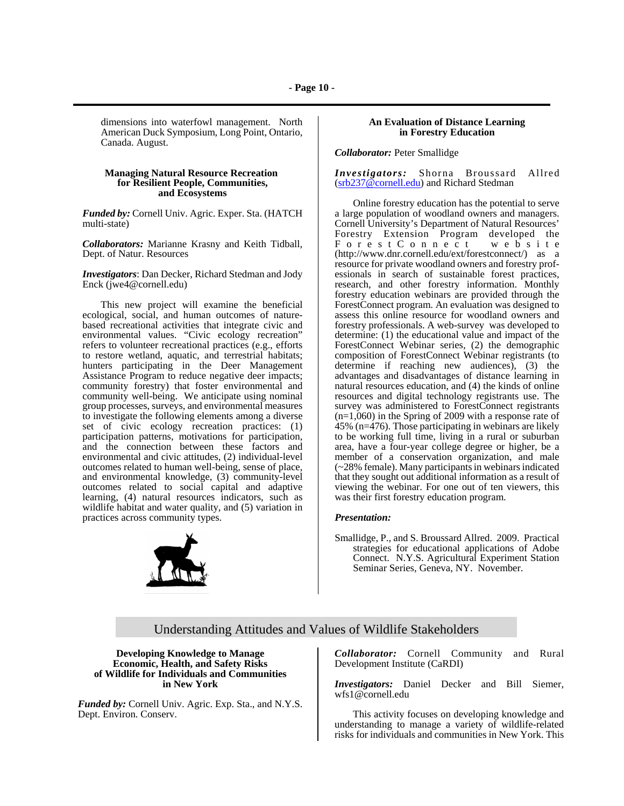dimensions into waterfowl management. North American Duck Symposium, Long Point, Ontario, Canada. August.

### **Managing Natural Resource Recreation for Resilient People, Communities, and Ecosystems**

*Funded by:* Cornell Univ. Agric. Exper. Sta. (HATCH multi-state)

*Collaborators:* Marianne Krasny and Keith Tidball, Dept. of Natur. Resources

*Investigators*: Dan Decker, Richard Stedman and Jody Enck (jwe4@cornell.edu)

This new project will examine the beneficial ecological, social, and human outcomes of naturebased recreational activities that integrate civic and environmental values. "Civic ecology recreation" refers to volunteer recreational practices (e.g., efforts to restore wetland, aquatic, and terrestrial habitats; hunters participating in the Deer Management Assistance Program to reduce negative deer impacts; community forestry) that foster environmental and community well-being. We anticipate using nominal group processes, surveys, and environmental measures to investigate the following elements among a diverse set of civic ecology recreation practices: (1) participation patterns, motivations for participation, and the connection between these factors and environmental and civic attitudes, (2) individual-level outcomes related to human well-being, sense of place, and environmental knowledge, (3) community-level outcomes related to social capital and adaptive learning, (4) natural resources indicators, such as wildlife habitat and water quality, and (5) variation in practices across community types.



## **An Evaluation of Distance Learning in Forestry Education**

*Collaborator:* Peter Smallidge

*Investigators:* Shorna Broussard Allred (srb237@cornell.edu) and Richard Stedman

Online forestry education has the potential to serve a large population of woodland owners and managers. Cornell University's Department of Natural Resources' Forestry Extension Program developed the ForestConnect website (http://www.dnr.cornell.edu/ext/forestconnect/) as a resource for private woodland owners and forestry professionals in search of sustainable forest practices, research, and other forestry information. Monthly forestry education webinars are provided through the ForestConnect program. An evaluation was designed to assess this online resource for woodland owners and forestry professionals. A web-survey was developed to determine: (1) the educational value and impact of the ForestConnect Webinar series, (2) the demographic composition of ForestConnect Webinar registrants (to determine if reaching new audiences), (3) the advantages and disadvantages of distance learning in natural resources education, and (4) the kinds of online resources and digital technology registrants use. The survey was administered to ForestConnect registrants  $(n=1,060)$  in the Spring of 2009 with a response rate of 45% (n=476). Those participating in webinars are likely to be working full time, living in a rural or suburban area, have a four-year college degree or higher, be a member of a conservation organization, and male (~28% female). Many participants in webinars indicated that they sought out additional information as a result of viewing the webinar. For one out of ten viewers, this was their first forestry education program.

#### *Presentation:*

Smallidge, P., and S. Broussard Allred. 2009. Practical strategies for educational applications of Adobe Connect. N.Y.S. Agricultural Experiment Station Seminar Series, Geneva, NY. November.

## Understanding Attitudes and Values of Wildlife Stakeholders

**Developing Knowledge to Manage Economic, Health, and Safety Risks of Wildlife for Individuals and Communities in New York**

*Funded by:* Cornell Univ. Agric. Exp. Sta., and N.Y.S. Dept. Environ. Conserv.

*Collaborator:* Cornell Community and Rural Development Institute (CaRDI)

*Investigators:* Daniel Decker and Bill Siemer, wfs1@cornell.edu

This activity focuses on developing knowledge and understanding to manage a variety of wildlife-related risks for individuals and communities in New York. This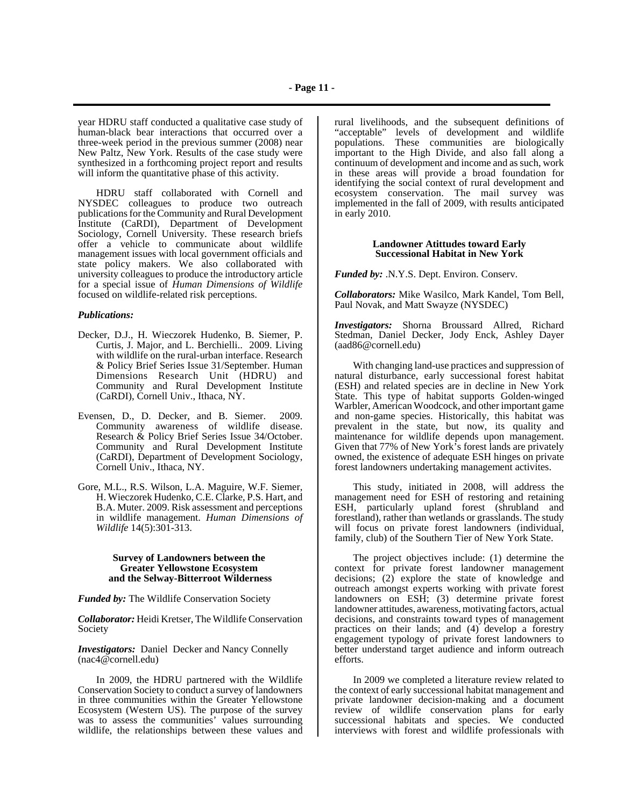year HDRU staff conducted a qualitative case study of human-black bear interactions that occurred over a three-week period in the previous summer (2008) near New Paltz, New York. Results of the case study were synthesized in a forthcoming project report and results will inform the quantitative phase of this activity.

HDRU staff collaborated with Cornell and NYSDEC colleagues to produce two outreach publications for the Community and Rural Development Institute (CaRDI), Department of Development Sociology, Cornell University. These research briefs offer a vehicle to communicate about wildlife management issues with local government officials and state policy makers. We also collaborated with university colleagues to produce the introductory article for a special issue of *Human Dimensions of Wildlife* focused on wildlife-related risk perceptions.

## *Publications:*

- Decker, D.J., H. Wieczorek Hudenko, B. Siemer, P. Curtis, J. Major, and L. Berchielli.. 2009. Living with wildlife on the rural-urban interface. Research & Policy Brief Series Issue 31/September. Human Dimensions Research Unit (HDRU) and Community and Rural Development Institute (CaRDI), Cornell Univ., Ithaca, NY.
- Evensen, D., D. Decker, and B. Siemer. 2009. Community awareness of wildlife disease. Research & Policy Brief Series Issue 34/October. Community and Rural Development Institute (CaRDI), Department of Development Sociology, Cornell Univ., Ithaca, NY.
- Gore, M.L., R.S. Wilson, L.A. Maguire, W.F. Siemer, H. Wieczorek Hudenko, C.E. Clarke, P.S. Hart, and B.A. Muter. 2009. Risk assessment and perceptions in wildlife management. *Human Dimensions of Wildlife* 14(5):301-313.

#### **Survey of Landowners between the Greater Yellowstone Ecosystem and the Selway-Bitterroot Wilderness**

*Funded by:* The Wildlife Conservation Society

*Collaborator:* Heidi Kretser, The Wildlife Conservation Society

*Investigators:* Daniel Decker and Nancy Connelly (nac4@cornell.edu)

In 2009, the HDRU partnered with the Wildlife Conservation Society to conduct a survey of landowners in three communities within the Greater Yellowstone Ecosystem (Western US). The purpose of the survey was to assess the communities' values surrounding wildlife, the relationships between these values and

rural livelihoods, and the subsequent definitions of "acceptable" levels of development and wildlife populations. These communities are biologically important to the High Divide, and also fall along a continuum of development and income and as such, work in these areas will provide a broad foundation for identifying the social context of rural development and ecosystem conservation. The mail survey was implemented in the fall of 2009, with results anticipated in early 2010.

## **Landowner Atittudes toward Early Successional Habitat in New York**

*Funded by:* .N.Y.S. Dept. Environ. Conserv.

*Collaborators:* Mike Wasilco, Mark Kandel, Tom Bell, Paul Novak, and Matt Swayze (NYSDEC)

*Investigators:* Shorna Broussard Allred, Richard Stedman, Daniel Decker, Jody Enck, Ashley Dayer (aad86@cornell.edu)

With changing land-use practices and suppression of natural disturbance, early successional forest habitat (ESH) and related species are in decline in New York State. This type of habitat supports Golden-winged Warbler, American Woodcock, and other important game and non-game species. Historically, this habitat was prevalent in the state, but now, its quality and maintenance for wildlife depends upon management. Given that 77% of New York's forest lands are privately owned, the existence of adequate ESH hinges on private forest landowners undertaking management activites.

This study, initiated in 2008, will address the management need for ESH of restoring and retaining ESH, particularly upland forest (shrubland and forestland), rather than wetlands or grasslands. The study will focus on private forest landowners (individual, family, club) of the Southern Tier of New York State.

The project objectives include: (1) determine the context for private forest landowner management decisions; (2) explore the state of knowledge and outreach amongst experts working with private forest landowners on ESH; (3) determine private forest landowner attitudes, awareness, motivating factors, actual decisions, and constraints toward types of management practices on their lands; and (4) develop a forestry engagement typology of private forest landowners to better understand target audience and inform outreach efforts.

In 2009 we completed a literature review related to the context of early successional habitat management and private landowner decision-making and a document review of wildlife conservation plans for early successional habitats and species. We conducted interviews with forest and wildlife professionals with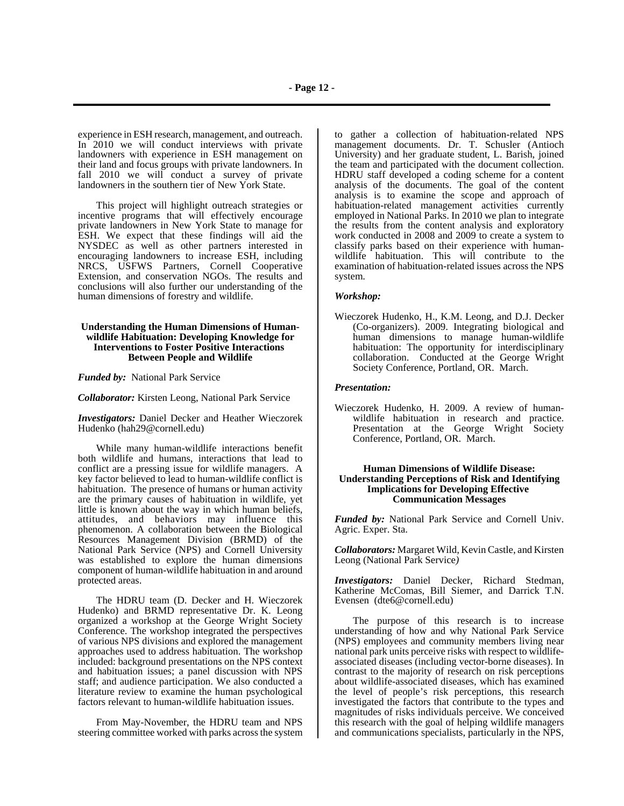experience in ESH research, management, and outreach. In 2010 we will conduct interviews with private landowners with experience in ESH management on their land and focus groups with private landowners. In fall 2010 we will conduct a survey of private landowners in the southern tier of New York State.

This project will highlight outreach strategies or incentive programs that will effectively encourage private landowners in New York State to manage for ESH. We expect that these findings will aid the NYSDEC as well as other partners interested in encouraging landowners to increase ESH, including NRCS, USFWS Partners, Cornell Cooperative Extension, and conservation NGOs. The results and conclusions will also further our understanding of the human dimensions of forestry and wildlife.

### **Understanding the Human Dimensions of Humanwildlife Habituation: Developing Knowledge for Interventions to Foster Positive Interactions Between People and Wildlife**

*Funded by:* National Park Service

*Collaborator:* Kirsten Leong, National Park Service

*Investigators:* Daniel Decker and Heather Wieczorek Hudenko (hah29@cornell.edu)

While many human-wildlife interactions benefit both wildlife and humans, interactions that lead to conflict are a pressing issue for wildlife managers. A key factor believed to lead to human-wildlife conflict is habituation. The presence of humans or human activity are the primary causes of habituation in wildlife, yet little is known about the way in which human beliefs, attitudes, and behaviors may influence this phenomenon. A collaboration between the Biological Resources Management Division (BRMD) of the National Park Service (NPS) and Cornell University was established to explore the human dimensions component of human-wildlife habituation in and around protected areas.

The HDRU team (D. Decker and H. Wieczorek Hudenko) and BRMD representative Dr. K. Leong organized a workshop at the George Wright Society Conference. The workshop integrated the perspectives of various NPS divisions and explored the management approaches used to address habituation. The workshop included: background presentations on the NPS context and habituation issues; a panel discussion with NPS staff; and audience participation. We also conducted a literature review to examine the human psychological factors relevant to human-wildlife habituation issues.

From May-November, the HDRU team and NPS steering committee worked with parks across the system

to gather a collection of habituation-related NPS management documents. Dr. T. Schusler (Antioch University) and her graduate student, L. Barish, joined the team and participated with the document collection. HDRU staff developed a coding scheme for a content analysis of the documents. The goal of the content analysis is to examine the scope and approach of habituation-related management activities currently employed in National Parks. In 2010 we plan to integrate the results from the content analysis and exploratory work conducted in 2008 and 2009 to create a system to classify parks based on their experience with humanwildlife habituation. This will contribute to the examination of habituation-related issues across the NPS system.

### *Workshop:*

Wieczorek Hudenko, H., K.M. Leong, and D.J. Decker (Co-organizers). 2009. Integrating biological and human dimensions to manage human-wildlife habituation: The opportunity for interdisciplinary collaboration. Conducted at the George Wright Society Conference, Portland, OR. March.

#### *Presentation:*

Wieczorek Hudenko, H. 2009. A review of humanwildlife habituation in research and practice. Presentation at the George Wright Society Conference, Portland, OR. March.

#### **Human Dimensions of Wildlife Disease: Understanding Perceptions of Risk and Identifying Implications for Developing Effective Communication Messages**

*Funded by:* National Park Service and Cornell Univ. Agric. Exper. Sta.

*Collaborators:* Margaret Wild, Kevin Castle, and Kirsten Leong (National Park Service*)*

*Investigators:* Daniel Decker, Richard Stedman, Katherine McComas, Bill Siemer, and Darrick T.N. Evensen (dte6@cornell.edu)

The purpose of this research is to increase understanding of how and why National Park Service (NPS) employees and community members living near national park units perceive risks with respect to wildlifeassociated diseases (including vector-borne diseases). In contrast to the majority of research on risk perceptions about wildlife-associated diseases, which has examined the level of people's risk perceptions, this research investigated the factors that contribute to the types and magnitudes of risks individuals perceive. We conceived this research with the goal of helping wildlife managers and communications specialists, particularly in the NPS,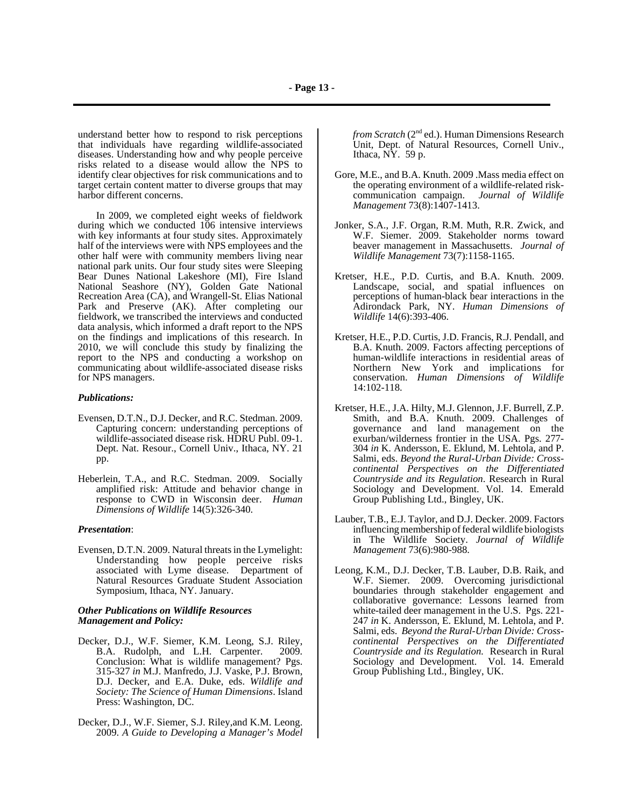understand better how to respond to risk perceptions that individuals have regarding wildlife-associated diseases. Understanding how and why people perceive risks related to a disease would allow the NPS to identify clear objectives for risk communications and to target certain content matter to diverse groups that may harbor different concerns.

In 2009, we completed eight weeks of fieldwork during which we conducted 106 intensive interviews with key informants at four study sites. Approximately half of the interviews were with NPS employees and the other half were with community members living near national park units. Our four study sites were Sleeping Bear Dunes National Lakeshore (MI), Fire Island National Seashore (NY), Golden Gate National Recreation Area (CA), and Wrangell-St. Elias National Park and Preserve (AK). After completing our fieldwork, we transcribed the interviews and conducted data analysis, which informed a draft report to the NPS on the findings and implications of this research. In 2010, we will conclude this study by finalizing the report to the NPS and conducting a workshop on communicating about wildlife-associated disease risks for NPS managers.

#### *Publications:*

- Evensen, D.T.N., D.J. Decker, and R.C. Stedman. 2009. Capturing concern: understanding perceptions of wildlife-associated disease risk. HDRU Publ. 09-1. Dept. Nat. Resour., Cornell Univ., Ithaca, NY. 21 pp.
- Heberlein, T.A., and R.C. Stedman. 2009. Socially amplified risk: Attitude and behavior change in response to CWD in Wisconsin deer. *Human Dimensions of Wildlife* 14(5):326-340.

#### *Presentation*:

Evensen, D.T.N. 2009. Natural threats in the Lymelight: Understanding how people perceive risks associated with Lyme disease. Department of Natural Resources Graduate Student Association Symposium, Ithaca, NY. January.

### *Other Publications on Wildlife Resources Management and Policy:*

- Decker, D.J., W.F. Siemer, K.M. Leong, S.J. Riley, B.A. Rudolph, and L.H. Carpenter. 2009. Conclusion: What is wildlife management? Pgs. 315-327 *in* M.J. Manfredo, J.J. Vaske, P.J. Brown, D.J. Decker, and E.A. Duke, eds. *Wildlife and Society: The Science of Human Dimensions*. Island Press: Washington, DC.
- Decker, D.J., W.F. Siemer, S.J. Riley,and K.M. Leong. 2009. *A Guide to Developing a Manager's Model*

*from Scratch* (2<sup>nd</sup> ed.). Human Dimensions Research Unit, Dept. of Natural Resources, Cornell Univ., Ithaca,  $N\dot{Y}$ . 59 p.

- Gore, M.E., and B.A. Knuth. 2009 .Mass media effect on the operating environment of a wildlife-related riskcommunication campaign. *Journal of Wildlife Management* 73(8):1407-1413.
- Jonker, S.A., J.F. Organ, R.M. Muth, R.R. Zwick, and W.F. Siemer. 2009. Stakeholder norms toward beaver management in Massachusetts. *Journal of Wildlife Management* 73(7):1158-1165.
- Kretser, H.E., P.D. Curtis, and B.A. Knuth. 2009. Landscape, social, and spatial influences on perceptions of human-black bear interactions in the Adirondack Park, NY. *Human Dimensions of Wildlife* 14(6):393-406.
- Kretser, H.E., P.D. Curtis, J.D. Francis, R.J. Pendall, and B.A. Knuth. 2009. Factors affecting perceptions of human-wildlife interactions in residential areas of Northern New York and implications for conservation. *Human Dimensions of Wildlife* 14:102-118.
- Kretser, H.E., J.A. Hilty, M.J. Glennon, J.F. Burrell, Z.P. Smith, and B.A. Knuth. 2009. Challenges of governance and land management on the exurban/wilderness frontier in the USA. Pgs. 277- 304 *in* K. Andersson, E. Eklund, M. Lehtola, and P. Salmi, eds. *Beyond the Rural-Urban Divide: Crosscontinental Perspectives on the Differentiated Countryside and its Regulation*. Research in Rural Sociology and Development. Vol. 14. Emerald Group Publishing Ltd., Bingley, UK.
- Lauber, T.B., E.J. Taylor, and D.J. Decker. 2009. Factors influencing membership of federal wildlife biologists in The Wildlife Society. *Journal of Wildlife Management* 73(6):980-988.
- Leong, K.M., D.J. Decker, T.B. Lauber, D.B. Raik, and W.F. Siemer. 2009. Overcoming jurisdictional boundaries through stakeholder engagement and collaborative governance: Lessons learned from white-tailed deer management in the U.S. Pgs. 221- 247 *in* K. Andersson, E. Eklund, M. Lehtola, and P. Salmi, eds. *Beyond the Rural-Urban Divide: Crosscontinental Perspectives on the Differentiated Countryside and its Regulation.* Research in Rural Sociology and Development. Vol. 14. Emerald Group Publishing Ltd., Bingley, UK.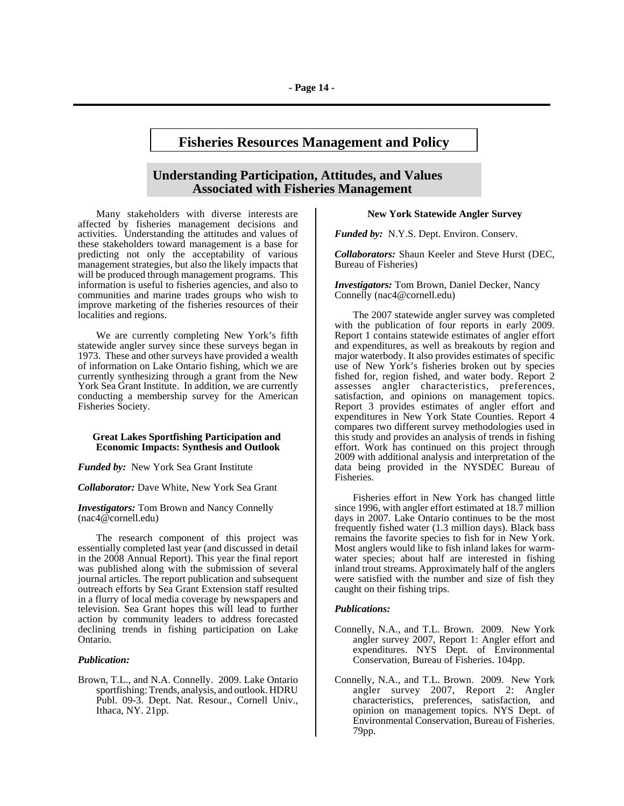# **Fisheries Resources Management and Policy**

## **Understanding Participation, Attitudes, and Values Associated with Fisheries Management**

 Many stakeholders with diverse interests are affected by fisheries management decisions and activities. Understanding the attitudes and values of these stakeholders toward management is a base for predicting not only the acceptability of various management strategies, but also the likely impacts that will be produced through management programs. This information is useful to fisheries agencies, and also to communities and marine trades groups who wish to improve marketing of the fisheries resources of their localities and regions.

We are currently completing New York's fifth statewide angler survey since these surveys began in 1973. These and other surveys have provided a wealth of information on Lake Ontario fishing, which we are currently synthesizing through a grant from the New York Sea Grant Institute. In addition, we are currently conducting a membership survey for the American Fisheries Society.

#### **Great Lakes Sportfishing Participation and Economic Impacts: Synthesis and Outlook**

*Funded by:* New York Sea Grant Institute

*Collaborator:* Dave White, New York Sea Grant

*Investigators:* Tom Brown and Nancy Connelly (nac4@cornell.edu)

The research component of this project was essentially completed last year (and discussed in detail in the 2008 Annual Report). This year the final report was published along with the submission of several journal articles. The report publication and subsequent outreach efforts by Sea Grant Extension staff resulted in a flurry of local media coverage by newspapers and television. Sea Grant hopes this will lead to further action by community leaders to address forecasted declining trends in fishing participation on Lake Ontario.

#### *Publication:*

Brown, T.L., and N.A. Connelly. 2009. Lake Ontario sportfishing: Trends, analysis, and outlook. HDRU Publ. 09-3. Dept. Nat. Resour., Cornell Univ., Ithaca, NY. 21pp.

#### **New York Statewide Angler Survey**

*Funded by:* N.Y.S. Dept. Environ. Conserv.

*Collaborators:* Shaun Keeler and Steve Hurst (DEC, Bureau of Fisheries)

*Investigators:* Tom Brown, Daniel Decker, Nancy Connelly (nac4@cornell.edu)

The 2007 statewide angler survey was completed with the publication of four reports in early 2009. Report 1 contains statewide estimates of angler effort and expenditures, as well as breakouts by region and major waterbody. It also provides estimates of specific use of New York's fisheries broken out by species fished for, region fished, and water body. Report 2 assesses angler characteristics, preferences, satisfaction, and opinions on management topics. Report 3 provides estimates of angler effort and expenditures in New York State Counties. Report 4 compares two different survey methodologies used in this study and provides an analysis of trends in fishing effort. Work has continued on this project through 2009 with additional analysis and interpretation of the data being provided in the NYSDEC Bureau of Fisheries.

Fisheries effort in New York has changed little since 1996, with angler effort estimated at 18.7 million days in 2007. Lake Ontario continues to be the most frequently fished water (1.3 million days). Black bass remains the favorite species to fish for in New York. Most anglers would like to fish inland lakes for warmwater species; about half are interested in fishing inland trout streams. Approximately half of the anglers were satisfied with the number and size of fish they caught on their fishing trips.

#### *Publications:*

- Connelly, N.A., and T.L. Brown. 2009. New York angler survey 2007, Report 1: Angler effort and expenditures. NYS Dept. of Environmental Conservation, Bureau of Fisheries. 104pp.
- Connelly, N.A., and T.L. Brown. 2009. New York angler survey 2007, Report 2: Angler characteristics, preferences, satisfaction, and opinion on management topics. NYS Dept. of Environmental Conservation, Bureau of Fisheries. 79pp.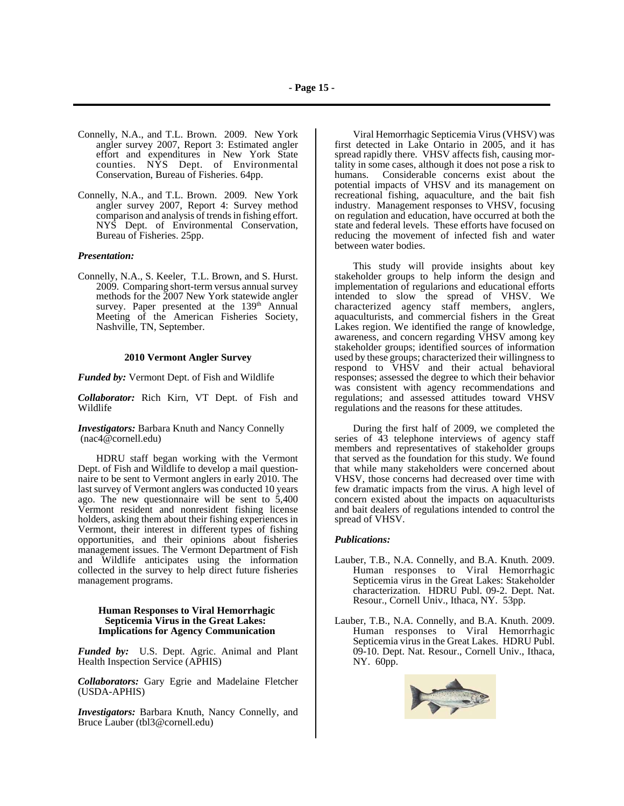- Connelly, N.A., and T.L. Brown. 2009. New York angler survey 2007, Report 3: Estimated angler effort and expenditures in New York State counties. NYS Dept. of Environmental Conservation, Bureau of Fisheries. 64pp.
- Connelly, N.A., and T.L. Brown. 2009. New York angler survey 2007, Report 4: Survey method comparison and analysis of trends in fishing effort. NYS Dept. of Environmental Conservation, Bureau of Fisheries. 25pp.

### *Presentation:*

Connelly, N.A., S. Keeler, T.L. Brown, and S. Hurst. 2009. Comparing short-term versus annual survey methods for the 2007 New York statewide angler survey. Paper presented at the 139<sup>th</sup> Annual Meeting of the American Fisheries Society, Nashville, TN, September.

#### **2010 Vermont Angler Survey**

*Funded by:* Vermont Dept. of Fish and Wildlife

*Collaborator:* Rich Kirn, VT Dept. of Fish and Wildlife

*Investigators:* Barbara Knuth and Nancy Connelly (nac4@cornell.edu)

HDRU staff began working with the Vermont Dept. of Fish and Wildlife to develop a mail questionnaire to be sent to Vermont anglers in early 2010. The last survey of Vermont anglers was conducted 10 years ago. The new questionnaire will be sent to 5,400 Vermont resident and nonresident fishing license holders, asking them about their fishing experiences in Vermont, their interest in different types of fishing opportunities, and their opinions about fisheries management issues. The Vermont Department of Fish and Wildlife anticipates using the information collected in the survey to help direct future fisheries management programs.

#### **Human Responses to Viral Hemorrhagic Septicemia Virus in the Great Lakes: Implications for Agency Communication**

*Funded by:* U.S. Dept. Agric. Animal and Plant Health Inspection Service (APHIS)

*Collaborators:* Gary Egrie and Madelaine Fletcher (USDA-APHIS)

*Investigators:* Barbara Knuth, Nancy Connelly, and Bruce Lauber (tbl3@cornell.edu)

Viral Hemorrhagic Septicemia Virus (VHSV) was first detected in Lake Ontario in 2005, and it has spread rapidly there. VHSV affects fish, causing mortality in some cases, although it does not pose a risk to humans. Considerable concerns exist about the potential impacts of VHSV and its management on recreational fishing, aquaculture, and the bait fish industry. Management responses to VHSV, focusing on regulation and education, have occurred at both the state and federal levels. These efforts have focused on reducing the movement of infected fish and water between water bodies.

This study will provide insights about key stakeholder groups to help inform the design and implementation of regularions and educational efforts intended to slow the spread of VHSV. We characterized agency staff members, anglers, aquaculturists, and commercial fishers in the Great Lakes region. We identified the range of knowledge, awareness, and concern regarding VHSV among key stakeholder groups; identified sources of information used by these groups; characterized their willingness to respond to VHSV and their actual behavioral responses; assessed the degree to which their behavior was consistent with agency recommendations and regulations; and assessed attitudes toward VHSV regulations and the reasons for these attitudes.

During the first half of 2009, we completed the series of 43 telephone interviews of agency staff members and representatives of stakeholder groups that served as the foundation for this study. We found that while many stakeholders were concerned about VHSV, those concerns had decreased over time with few dramatic impacts from the virus. A high level of concern existed about the impacts on aquaculturists and bait dealers of regulations intended to control the spread of VHSV.

#### *Publications:*

- Lauber, T.B., N.A. Connelly, and B.A. Knuth. 2009. Human responses to Viral Hemorrhagic Septicemia virus in the Great Lakes: Stakeholder characterization. HDRU Publ. 09-2. Dept. Nat. Resour., Cornell Univ., Ithaca, NY. 53pp.
- Lauber, T.B., N.A. Connelly, and B.A. Knuth. 2009. Human responses to Viral Hemorrhagic Septicemia virus in the Great Lakes. HDRU Publ. 09-10. Dept. Nat. Resour., Cornell Univ., Ithaca, NY. 60pp.

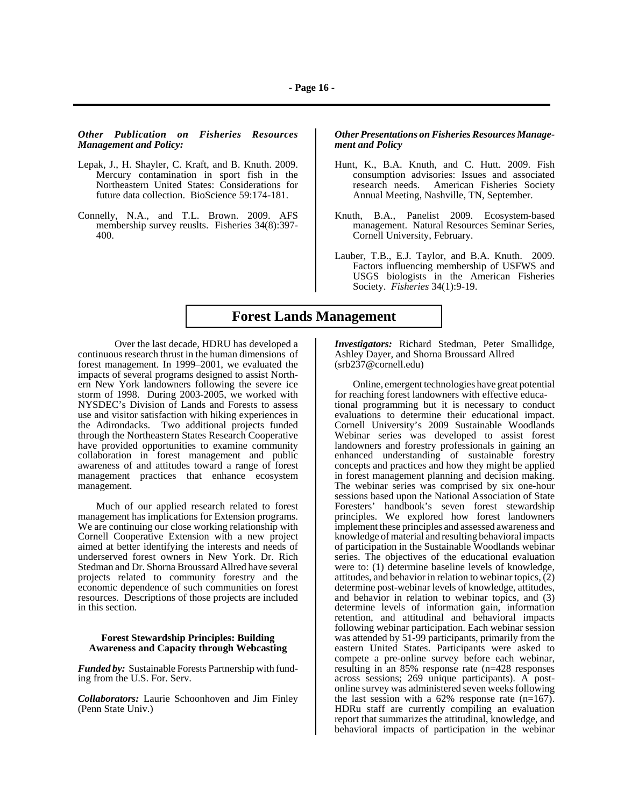*Other Publication on Fisheries Resources Management and Policy:*

- Lepak, J., H. Shayler, C. Kraft, and B. Knuth. 2009. Mercury contamination in sport fish in the Northeastern United States: Considerations for future data collection. BioScience 59:174-181.
- Connelly, N.A., and T.L. Brown. 2009. AFS membership survey reuslts. Fisheries 34(8):397- 400.

*Other Presentations on Fisheries Resources Management and Policy*

- Hunt, K., B.A. Knuth, and C. Hutt. 2009. Fish consumption advisories: Issues and associated American Fisheries Society Annual Meeting, Nashville, TN, September.
- Knuth, B.A., Panelist 2009. Ecosystem-based management. Natural Resources Seminar Series, Cornell University, February.
- Lauber, T.B., E.J. Taylor, and B.A. Knuth. 2009. Factors influencing membership of USFWS and USGS biologists in the American Fisheries Society. *Fisheries* 34(1):9-19.

## **Forest Lands Management**

Over the last decade, HDRU has developed a continuous research thrust in the human dimensions of forest management. In 1999–2001, we evaluated the impacts of several programs designed to assist Northern New York landowners following the severe ice storm of 1998. During 2003-2005, we worked with NYSDEC's Division of Lands and Forests to assess use and visitor satisfaction with hiking experiences in the Adirondacks. Two additional projects funded through the Northeastern States Research Cooperative have provided opportunities to examine community collaboration in forest management and public awareness of and attitudes toward a range of forest management practices that enhance ecosystem management.

Much of our applied research related to forest management has implications for Extension programs. We are continuing our close working relationship with Cornell Cooperative Extension with a new project aimed at better identifying the interests and needs of underserved forest owners in New York. Dr. Rich Stedman and Dr. Shorna Broussard Allred have several projects related to community forestry and the economic dependence of such communities on forest resources. Descriptions of those projects are included in this section.

### **Forest Stewardship Principles: Building Awareness and Capacity through Webcasting**

*Funded by:* Sustainable Forests Partnership with funding from the U.S. For. Serv.

*Collaborators:* Laurie Schoonhoven and Jim Finley (Penn State Univ.)

*Investigators:* Richard Stedman, Peter Smallidge, Ashley Dayer, and Shorna Broussard Allred (srb237@cornell.edu)

Online, emergent technologies have great potential for reaching forest landowners with effective educational programming but it is necessary to conduct evaluations to determine their educational impact. Cornell University's 2009 Sustainable Woodlands Webinar series was developed to assist forest landowners and forestry professionals in gaining an enhanced understanding of sustainable forestry concepts and practices and how they might be applied in forest management planning and decision making. The webinar series was comprised by six one-hour sessions based upon the National Association of State Foresters' handbook's seven forest stewardship principles. We explored how forest landowners implement these principles and assessed awareness and knowledge of material and resulting behavioral impacts of participation in the Sustainable Woodlands webinar series. The objectives of the educational evaluation were to: (1) determine baseline levels of knowledge, attitudes, and behavior in relation to webinar topics,  $(2)$ determine post-webinar levels of knowledge, attitudes, and behavior in relation to webinar topics, and (3) determine levels of information gain, information retention, and attitudinal and behavioral impacts following webinar participation. Each webinar session was attended by 51-99 participants, primarily from the eastern United States. Participants were asked to compete a pre-online survey before each webinar, resulting in an 85% response rate (n=428 responses across sessions; 269 unique participants). A postonline survey was administered seven weeks following the last session with a  $62\%$  response rate  $(n=167)$ . HDRu staff are currently compiling an evaluation report that summarizes the attitudinal, knowledge, and behavioral impacts of participation in the webinar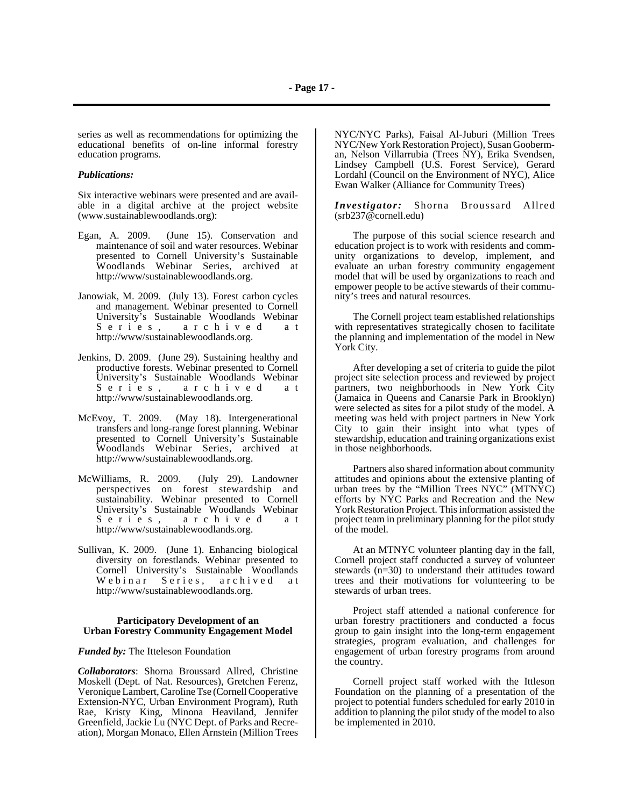series as well as recommendations for optimizing the educational benefits of on-line informal forestry education programs.

#### *Publications:*

Six interactive webinars were presented and are available in a digital archive at the project website (www.sustainablewoodlands.org):

- Egan, A. 2009. (June 15). Conservation and maintenance of soil and water resources. Webinar presented to Cornell University's Sustainable Woodlands Webinar Series, archived at http://www/sustainablewoodlands.org.
- Janowiak, M. 2009. (July 13). Forest carbon cycles and management. Webinar presented to Cornell University's Sustainable Woodlands Webinar Series, archived at http://www/sustainablewoodlands.org.
- Jenkins, D. 2009. (June 29). Sustaining healthy and productive forests. Webinar presented to Cornell University's Sustainable Woodlands Webinar<br>Series, archived at archived at http://www/sustainablewoodlands.org.
- McEvoy, T. 2009. (May 18). Intergenerational transfers and long-range forest planning. Webinar presented to Cornell University's Sustainable Woodlands Webinar Series, archived at http://www/sustainablewoodlands.org.
- McWilliams, R. 2009. (July 29). Landowner perspectives on forest stewardship and sustainability. Webinar presented to Cornell University's Sustainable Woodlands Webinar Series, archived at http://www/sustainablewoodlands.org.
- Sullivan, K. 2009. (June 1). Enhancing biological diversity on forestlands. Webinar presented to Cornell University's Sustainable Woodlands Webinar Series, archived at http://www/sustainablewoodlands.org.

#### **Participatory Development of an Urban Forestry Community Engagement Model**

#### *Funded by:* The Itteleson Foundation

*Collaborators*: Shorna Broussard Allred, Christine Moskell (Dept. of Nat. Resources), Gretchen Ferenz, Veronique Lambert, Caroline Tse (Cornell Cooperative Extension-NYC, Urban Environment Program), Ruth Rae, Kristy King, Minona Heaviland, Jennifer Greenfield, Jackie Lu (NYC Dept. of Parks and Recreation), Morgan Monaco, Ellen Arnstein (Million Trees

NYC/NYC Parks), Faisal Al-Juburi (Million Trees NYC/New York Restoration Project), Susan Gooberman, Nelson Villarrubia (Trees NY), Erika Svendsen, Lindsey Campbell (U.S. Forest Service), Gerard Lordahl (Council on the Environment of NYC), Alice Ewan Walker (Alliance for Community Trees)

*Investigator:* Shorna Broussard Allred (srb237@cornell.edu)

The purpose of this social science research and education project is to work with residents and community organizations to develop, implement, and evaluate an urban forestry community engagement model that will be used by organizations to reach and empower people to be active stewards of their community's trees and natural resources.

The Cornell project team established relationships with representatives strategically chosen to facilitate the planning and implementation of the model in New York City.

After developing a set of criteria to guide the pilot project site selection process and reviewed by project partners, two neighborhoods in New York City (Jamaica in Queens and Canarsie Park in Brooklyn) were selected as sites for a pilot study of the model. A meeting was held with project partners in New York City to gain their insight into what types of stewardship, education and training organizations exist in those neighborhoods.

Partners also shared information about community attitudes and opinions about the extensive planting of urban trees by the "Million Trees NYC" (MTNYC) efforts by NYC Parks and Recreation and the New York Restoration Project. This information assisted the project team in preliminary planning for the pilot study of the model.

At an MTNYC volunteer planting day in the fall, Cornell project staff conducted a survey of volunteer stewards (n=30) to understand their attitudes toward trees and their motivations for volunteering to be stewards of urban trees.

Project staff attended a national conference for urban forestry practitioners and conducted a focus group to gain insight into the long-term engagement strategies, program evaluation, and challenges for engagement of urban forestry programs from around the country.

Cornell project staff worked with the Ittleson Foundation on the planning of a presentation of the project to potential funders scheduled for early 2010 in addition to planning the pilot study of the model to also be implemented in 2010.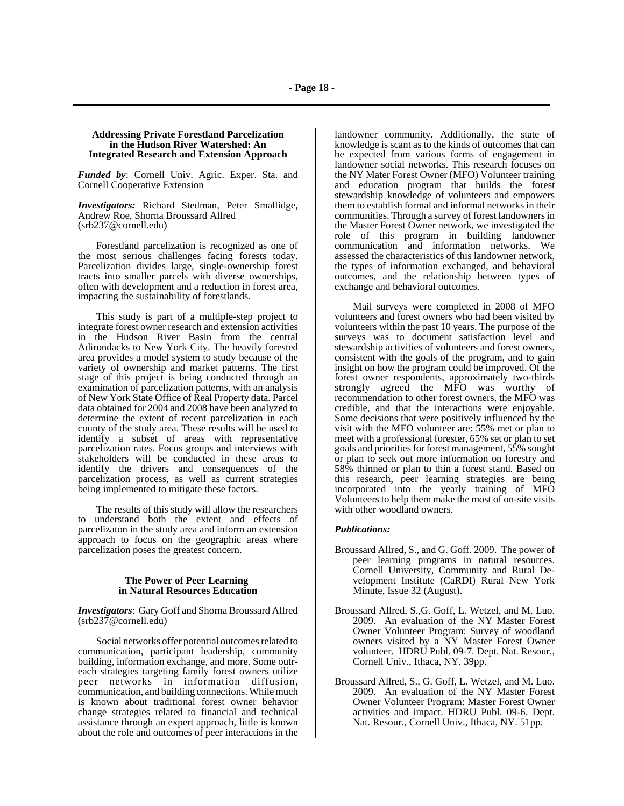## **Addressing Private Forestland Parcelization in the Hudson River Watershed: An Integrated Research and Extension Approach**

*Funded by*: Cornell Univ. Agric. Exper. Sta. and Cornell Cooperative Extension

*Investigators:* Richard Stedman, Peter Smallidge, Andrew Roe, Shorna Broussard Allred (srb237@cornell.edu)

Forestland parcelization is recognized as one of the most serious challenges facing forests today. Parcelization divides large, single-ownership forest tracts into smaller parcels with diverse ownerships, often with development and a reduction in forest area, impacting the sustainability of forestlands.

This study is part of a multiple-step project to integrate forest owner research and extension activities in the Hudson River Basin from the central Adirondacks to New York City. The heavily forested area provides a model system to study because of the variety of ownership and market patterns. The first stage of this project is being conducted through an examination of parcelization patterns, with an analysis of New York State Office of Real Property data. Parcel data obtained for 2004 and 2008 have been analyzed to determine the extent of recent parcelization in each county of the study area. These results will be used to identify a subset of areas with representative parcelization rates. Focus groups and interviews with stakeholders will be conducted in these areas to identify the drivers and consequences of the parcelization process, as well as current strategies being implemented to mitigate these factors.

The results of this study will allow the researchers to understand both the extent and effects of parcelizaton in the study area and inform an extension approach to focus on the geographic areas where parcelization poses the greatest concern.

#### **The Power of Peer Learning in Natural Resources Education**

*Investigators*: Gary Goff and Shorna Broussard Allred (srb237@cornell.edu)

Social networks offer potential outcomes related to communication, participant leadership, community building, information exchange, and more. Some outreach strategies targeting family forest owners utilize peer networks in information diffusion, communication, and building connections. While much is known about traditional forest owner behavior change strategies related to financial and technical assistance through an expert approach, little is known about the role and outcomes of peer interactions in the

landowner community. Additionally, the state of knowledge is scant as to the kinds of outcomes that can be expected from various forms of engagement in landowner social networks. This research focuses on the NY Mater Forest Owner (MFO) Volunteer training and education program that builds the forest stewardship knowledge of volunteers and empowers them to establish formal and informal networks in their communities. Through a survey of forest landowners in the Master Forest Owner network, we investigated the role of this program in building landowner communication and information networks. We assessed the characteristics of this landowner network, the types of information exchanged, and behavioral outcomes, and the relationship between types of exchange and behavioral outcomes.

Mail surveys were completed in 2008 of MFO volunteers and forest owners who had been visited by volunteers within the past 10 years. The purpose of the surveys was to document satisfaction level and stewardship activities of volunteers and forest owners, consistent with the goals of the program, and to gain insight on how the program could be improved. Of the forest owner respondents, approximately two-thirds strongly agreed the MFO was worthy of recommendation to other forest owners, the MFO was credible, and that the interactions were enjoyable. Some decisions that were positively influenced by the visit with the MFO volunteer are: 55% met or plan to meet with a professional forester, 65% set or plan to set goals and priorities for forest management, 55% sought or plan to seek out more information on forestry and 58% thinned or plan to thin a forest stand. Based on this research, peer learning strategies are being incorporated into the yearly training of MFO Volunteers to help them make the most of on-site visits with other woodland owners.

## *Publications:*

- Broussard Allred, S., and G. Goff. 2009. The power of peer learning programs in natural resources. Cornell University, Community and Rural Development Institute (CaRDI) Rural New York Minute, Issue 32 (August).
- Broussard Allred, S.,G. Goff, L. Wetzel, and M. Luo. 2009. An evaluation of the NY Master Forest Owner Volunteer Program: Survey of woodland owners visited by a NY Master Forest Owner volunteer. HDRU Publ. 09-7. Dept. Nat. Resour., Cornell Univ., Ithaca, NY. 39pp.
- Broussard Allred, S., G. Goff, L. Wetzel, and M. Luo. 2009. An evaluation of the NY Master Forest Owner Volunteer Program: Master Forest Owner activities and impact. HDRU Publ. 09-6. Dept. Nat. Resour., Cornell Univ., Ithaca, NY. 51pp.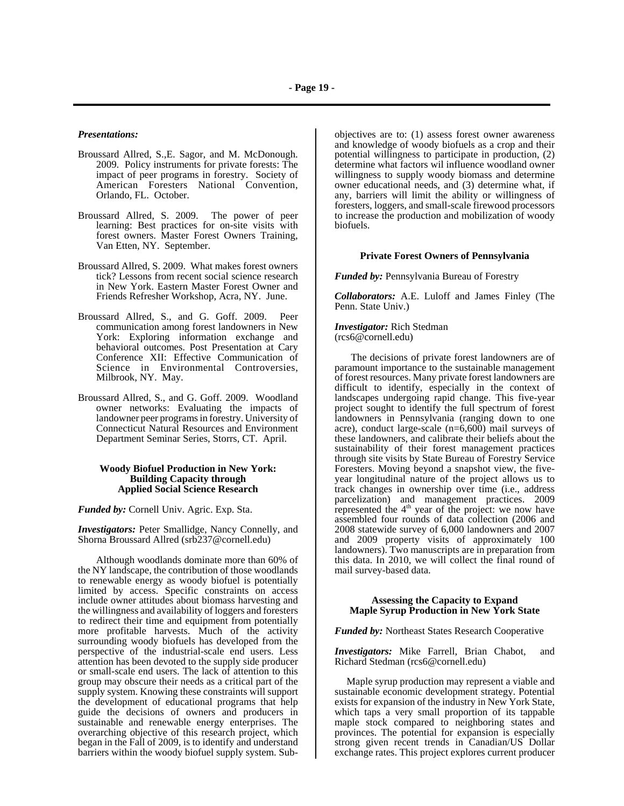### *Presentations:*

- Broussard Allred, S.,E. Sagor, and M. McDonough. 2009. Policy instruments for private forests: The impact of peer programs in forestry. Society of American Foresters National Convention, Orlando, FL. October.
- Broussard Allred, S. 2009. The power of peer learning: Best practices for on-site visits with forest owners. Master Forest Owners Training, Van Etten, NY. September.
- Broussard Allred, S. 2009. What makes forest owners tick? Lessons from recent social science research in New York. Eastern Master Forest Owner and Friends Refresher Workshop, Acra, NY. June.
- Broussard Allred, S., and G. Goff. 2009. Peer communication among forest landowners in New York: Exploring information exchange and behavioral outcomes. Post Presentation at Cary Conference XII: Effective Communication of Science in Environmental Controversies, Milbrook, NY. May.
- Broussard Allred, S., and G. Goff. 2009. Woodland owner networks: Evaluating the impacts of landowner peer programs in forestry. University of Connecticut Natural Resources and Environment Department Seminar Series, Storrs, CT. April.

#### **Woody Biofuel Production in New York: Building Capacity through Applied Social Science Research**

*Funded by:* Cornell Univ. Agric. Exp. Sta.

*Investigators:* Peter Smallidge, Nancy Connelly, and Shorna Broussard Allred (srb237@cornell.edu)

Although woodlands dominate more than 60% of the NY landscape, the contribution of those woodlands to renewable energy as woody biofuel is potentially limited by access. Specific constraints on access include owner attitudes about biomass harvesting and the willingness and availability of loggers and foresters to redirect their time and equipment from potentially more profitable harvests. Much of the activity surrounding woody biofuels has developed from the perspective of the industrial-scale end users. Less attention has been devoted to the supply side producer or small-scale end users. The lack of attention to this group may obscure their needs as a critical part of the supply system. Knowing these constraints will support the development of educational programs that help guide the decisions of owners and producers in sustainable and renewable energy enterprises. The overarching objective of this research project, which began in the Fall of 2009, is to identify and understand barriers within the woody biofuel supply system. Sub-

objectives are to: (1) assess forest owner awareness and knowledge of woody biofuels as a crop and their potential willingness to participate in production, (2) determine what factors wil influence woodland owner willingness to supply woody biomass and determine owner educational needs, and (3) determine what, if any, barriers will limit the ability or willingness of foresters, loggers, and small-scale firewood processors to increase the production and mobilization of woody biofuels.

#### **Private Forest Owners of Pennsylvania**

*Funded by:* Pennsylvania Bureau of Forestry

*Collaborators:* A.E. Luloff and James Finley (The Penn. State Univ.)

*Investigator:* Rich Stedman (rcs6@cornell.edu)

The decisions of private forest landowners are of paramount importance to the sustainable management of forest resources. Many private forest landowners are difficult to identify, especially in the context of landscapes undergoing rapid change. This five-year project sought to identify the full spectrum of forest landowners in Pennsylvania (ranging down to one acre), conduct large-scale (n=6,600) mail surveys of these landowners, and calibrate their beliefs about the sustainability of their forest management practices through site visits by State Bureau of Forestry Service Foresters. Moving beyond a snapshot view, the fiveyear longitudinal nature of the project allows us to track changes in ownership over time (i.e., address parcelization) and management practices. 2009 represented the 4<sup>th</sup> year of the project: we now have assembled four rounds of data collection (2006 and 2008 statewide survey of 6,000 landowners and 2007 and 2009 property visits of approximately 100 landowners). Two manuscripts are in preparation from this data. In 2010, we will collect the final round of mail survey-based data.

#### **Assessing the Capacity to Expand Maple Syrup Production in New York State**

*Funded by:* Northeast States Research Cooperative

*Investigators:* Mike Farrell, Brian Chabot, and Richard Stedman (rcs6@cornell.edu)

 Maple syrup production may represent a viable and sustainable economic development strategy. Potential exists for expansion of the industry in New York State, which taps a very small proportion of its tappable maple stock compared to neighboring states and provinces. The potential for expansion is especially strong given recent trends in Canadian/US Dollar exchange rates. This project explores current producer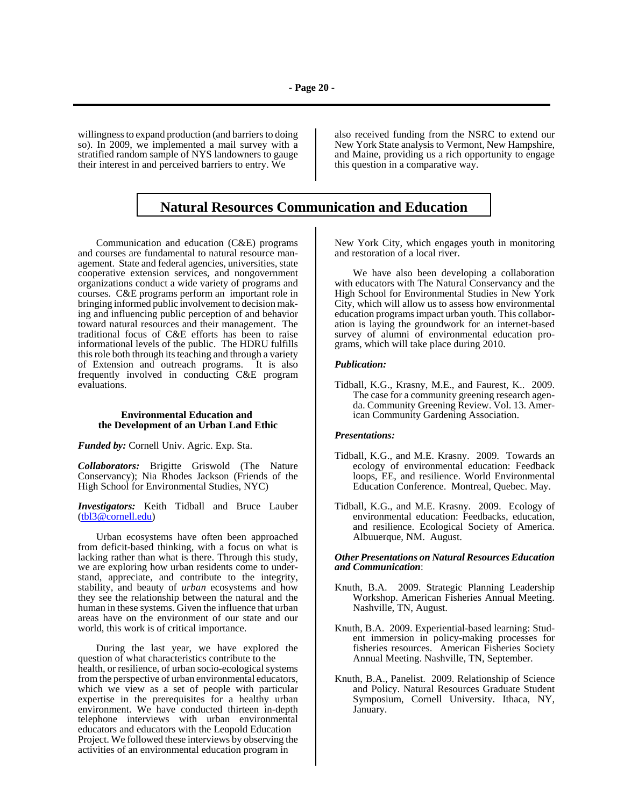willingness to expand production (and barriers to doing so). In 2009, we implemented a mail survey with a stratified random sample of NYS landowners to gauge their interest in and perceived barriers to entry. We

also received funding from the NSRC to extend our New York State analysis to Vermont, New Hampshire, and Maine, providing us a rich opportunity to engage this question in a comparative way.

# **Natural Resources Communication and Education**

Communication and education (C&E) programs and courses are fundamental to natural resource management. State and federal agencies, universities, state cooperative extension services, and nongovernment organizations conduct a wide variety of programs and courses. C&E programs perform an important role in bringing informed public involvement to decision making and influencing public perception of and behavior toward natural resources and their management. The traditional focus of C&E efforts has been to raise informational levels of the public. The HDRU fulfills this role both through its teaching and through a variety of Extension and outreach programs. It is also frequently involved in conducting C&E program evaluations.

#### **Environmental Education and the Development of an Urban Land Ethic**

*Funded by:* Cornell Univ. Agric. Exp. Sta.

*Collaborators:* Brigitte Griswold (The Nature Conservancy); Nia Rhodes Jackson (Friends of the High School for Environmental Studies, NYC)

*Investigators:* Keith Tidball and Bruce Lauber (tbl3@cornell.edu)

Urban ecosystems have often been approached from deficit-based thinking, with a focus on what is lacking rather than what is there. Through this study, we are exploring how urban residents come to understand, appreciate, and contribute to the integrity, stability, and beauty of *urban* ecosystems and how they see the relationship between the natural and the human in these systems. Given the influence that urban areas have on the environment of our state and our world, this work is of critical importance.

During the last year, we have explored the question of what characteristics contribute to the health, or resilience, of urban socio-ecological systems from the perspective of urban environmental educators, which we view as a set of people with particular expertise in the prerequisites for a healthy urban environment. We have conducted thirteen in-depth telephone interviews with urban environmental educators and educators with the Leopold Education Project. We followed these interviews by observing the activities of an environmental education program in

New York City, which engages youth in monitoring and restoration of a local river.

We have also been developing a collaboration with educators with The Natural Conservancy and the High School for Environmental Studies in New York City, which will allow us to assess how environmental education programs impact urban youth. This collaboration is laying the groundwork for an internet-based survey of alumni of environmental education programs, which will take place during 2010.

#### *Publication:*

Tidball, K.G., Krasny, M.E., and Faurest, K.. 2009. The case for a community greening research agenda. Community Greening Review. Vol. 13. American Community Gardening Association.

#### *Presentations:*

- Tidball, K.G., and M.E. Krasny. 2009. Towards an ecology of environmental education: Feedback loops, EE, and resilience. World Environmental Education Conference. Montreal, Quebec. May.
- Tidball, K.G., and M.E. Krasny. 2009. Ecology of environmental education: Feedbacks, education, and resilience. Ecological Society of America. Albuuerque, NM. August.

#### *Other Presentations on Natural Resources Education and Communication*:

- Knuth, B.A. 2009. Strategic Planning Leadership Workshop. American Fisheries Annual Meeting. Nashville, TN, August.
- Knuth, B.A. 2009. Experiential-based learning: Student immersion in policy-making processes for fisheries resources. American Fisheries Society Annual Meeting. Nashville, TN, September.
- Knuth, B.A., Panelist. 2009. Relationship of Science and Policy. Natural Resources Graduate Student Symposium, Cornell University. Ithaca, NY, January.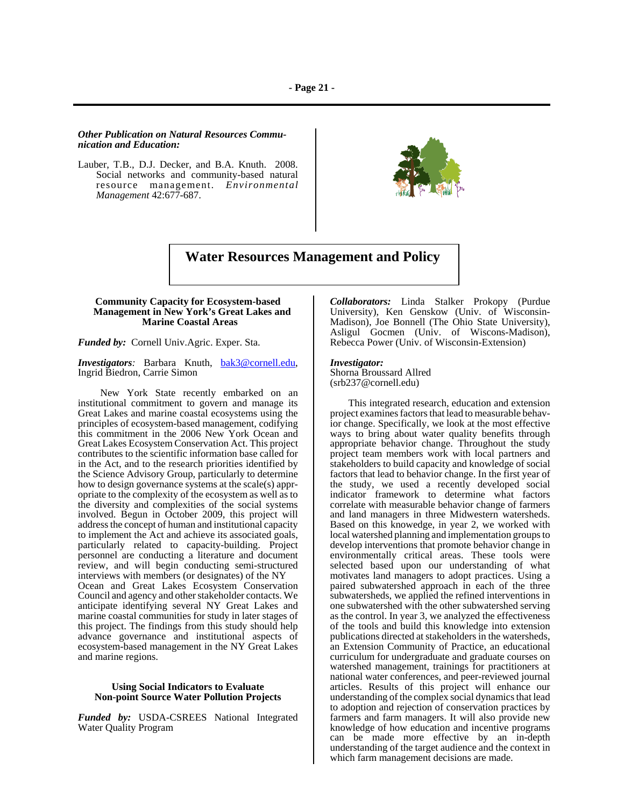## *Other Publication on Natural Resources Communication and Education:*

Lauber, T.B., D.J. Decker, and B.A. Knuth. 2008. Social networks and community-based natural resource management. *Environmental Management* 42:677-687.



# **Water Resources Management and Policy**

#### **Community Capacity for Ecosystem-based Management in New York's Great Lakes and Marine Coastal Areas**

*Funded by:* Cornell Univ.Agric. Exper. Sta.

*Investigators:* Barbara Knuth, bak3@cornell.edu, Ingrid Biedron, Carrie Simon

 New York State recently embarked on an institutional commitment to govern and manage its Great Lakes and marine coastal ecosystems using the principles of ecosystem-based management, codifying this commitment in the 2006 New York Ocean and Great Lakes Ecosystem Conservation Act. This project contributes to the scientific information base called for in the Act, and to the research priorities identified by the Science Advisory Group, particularly to determine how to design governance systems at the scale(s) appropriate to the complexity of the ecosystem as well as to the diversity and complexities of the social systems involved. Begun in October 2009, this project will address the concept of human and institutional capacity to implement the Act and achieve its associated goals, particularly related to capacity-building. Project personnel are conducting a literature and document review, and will begin conducting semi-structured interviews with members (or designates) of the NY Ocean and Great Lakes Ecosystem Conservation Council and agency and other stakeholder contacts. We anticipate identifying several NY Great Lakes and marine coastal communities for study in later stages of this project. The findings from this study should help advance governance and institutional aspects of ecosystem-based management in the NY Great Lakes and marine regions.

### **Using Social Indicators to Evaluate Non-point Source Water Pollution Projects**

*Funded by:* USDA-CSREES National Integrated Water Quality Program

*Collaborators:* Linda Stalker Prokopy (Purdue University), Ken Genskow (Univ. of Wisconsin-Madison), Joe Bonnell (The Ohio State University), Asligul Gocmen (Univ. of Wiscons-Madison), Rebecca Power (Univ. of Wisconsin-Extension)

#### *Investigator:*

Shorna Broussard Allred (srb237@cornell.edu)

This integrated research, education and extension project examines factors that lead to measurable behavior change. Specifically, we look at the most effective ways to bring about water quality benefits through appropriate behavior change. Throughout the study project team members work with local partners and stakeholders to build capacity and knowledge of social factors that lead to behavior change. In the first year of the study, we used a recently developed social indicator framework to determine what factors correlate with measurable behavior change of farmers and land managers in three Midwestern watersheds. Based on this knowedge, in year 2, we worked with local watershed planning and implementation groups to develop interventions that promote behavior change in environmentally critical areas. These tools were selected based upon our understanding of what motivates land managers to adopt practices. Using a paired subwatershed approach in each of the three subwatersheds, we applied the refined interventions in one subwatershed with the other subwatershed serving as the control. In year 3, we analyzed the effectiveness of the tools and build this knowledge into extension publications directed at stakeholders in the watersheds, an Extension Community of Practice, an educational curriculum for undergraduate and graduate courses on watershed management, trainings for practitioners at national water conferences, and peer-reviewed journal articles. Results of this project will enhance our understanding of the complex social dynamics that lead to adoption and rejection of conservation practices by farmers and farm managers. It will also provide new knowledge of how education and incentive programs can be made more effective by an in-depth understanding of the target audience and the context in which farm management decisions are made.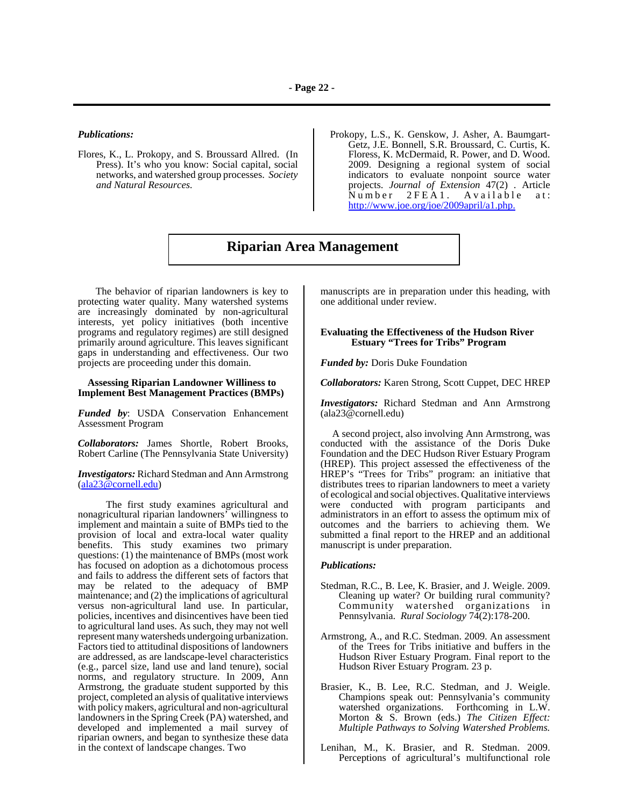#### *Publications:*

- Flores, K., L. Prokopy, and S. Broussard Allred. (In Press). It's who you know: Social capital, social networks, and watershed group processes. *Society and Natural Resources.*
- Prokopy, L.S., K. Genskow, J. Asher, A. Baumgart-Getz, J.E. Bonnell, S.R. Broussard, C. Curtis, K. Floress, K. McDermaid, R. Power, and D. Wood. 2009. Designing a regional system of social indicators to evaluate nonpoint source water projects. *Journal of Extension* 47(2) . Article Number 2FEA1. Available at: http://www.joe.org/joe/2009april/a1.php.

# **Riparian Area Management**

 The behavior of riparian landowners is key to protecting water quality. Many watershed systems are increasingly dominated by non-agricultural interests, yet policy initiatives (both incentive programs and regulatory regimes) are still designed primarily around agriculture. This leaves significant gaps in understanding and effectiveness. Our two projects are proceeding under this domain.

#### **Assessing Riparian Landowner Williness to Implement Best Management Practices (BMPs)**

*Funded by*: USDA Conservation Enhancement Assessment Program

*Collaborators:* James Shortle, Robert Brooks, Robert Carline (The Pennsylvania State University)

*Investigators:* Richard Stedman and Ann Armstrong (ala23@cornell.edu)

 The first study examines agricultural and nonagricultural riparian landowners' willingness to implement and maintain a suite of BMPs tied to the provision of local and extra-local water quality benefits. This study examines two primary questions: (1) the maintenance of BMPs (most work has focused on adoption as a dichotomous process and fails to address the different sets of factors that may be related to the adequacy of BMP maintenance; and (2) the implications of agricultural versus non-agricultural land use. In particular, policies, incentives and disincentives have been tied to agricultural land uses. As such, they may not well represent many watersheds undergoing urbanization. Factors tied to attitudinal dispositions of landowners are addressed, as are landscape-level characteristics (e.g., parcel size, land use and land tenure), social norms, and regulatory structure. In 2009, Ann Armstrong, the graduate student supported by this project, completed an alysis of qualitative interviews with policy makers, agricultural and non-agricultural landowners in the Spring Creek (PA) watershed, and developed and implemented a mail survey of riparian owners, and began to synthesize these data in the context of landscape changes. Two

manuscripts are in preparation under this heading, with one additional under review.

## **Evaluating the Effectiveness of the Hudson River Estuary "Trees for Tribs" Program**

*Funded by:* Doris Duke Foundation

*Collaborators:* Karen Strong, Scott Cuppet, DEC HREP

*Investigators:* Richard Stedman and Ann Armstrong (ala23@cornell.edu)

 A second project, also involving Ann Armstrong, was conducted with the assistance of the Doris Duke Foundation and the DEC Hudson River Estuary Program (HREP). This project assessed the effectiveness of the HREP's "Trees for Tribs" program: an initiative that distributes trees to riparian landowners to meet a variety of ecological and social objectives. Qualitative interviews were conducted with program participants and administrators in an effort to assess the optimum mix of outcomes and the barriers to achieving them. We submitted a final report to the HREP and an additional manuscript is under preparation.

#### *Publications:*

- Stedman, R.C., B. Lee, K. Brasier, and J. Weigle. 2009. Cleaning up water? Or building rural community? Community watershed organizations in Pennsylvania. *Rural Sociology* 74(2):178-200.
- Armstrong, A., and R.C. Stedman. 2009. An assessment of the Trees for Tribs initiative and buffers in the Hudson River Estuary Program. Final report to the Hudson River Estuary Program. 23 p.
- Brasier, K., B. Lee, R.C. Stedman, and J. Weigle. Champions speak out: Pennsylvania's community watershed organizations. Forthcoming in L.W. Morton & S. Brown (eds.) *The Citizen Effect: Multiple Pathways to Solving Watershed Problems.*
- Lenihan, M., K. Brasier, and R. Stedman. 2009. Perceptions of agricultural's multifunctional role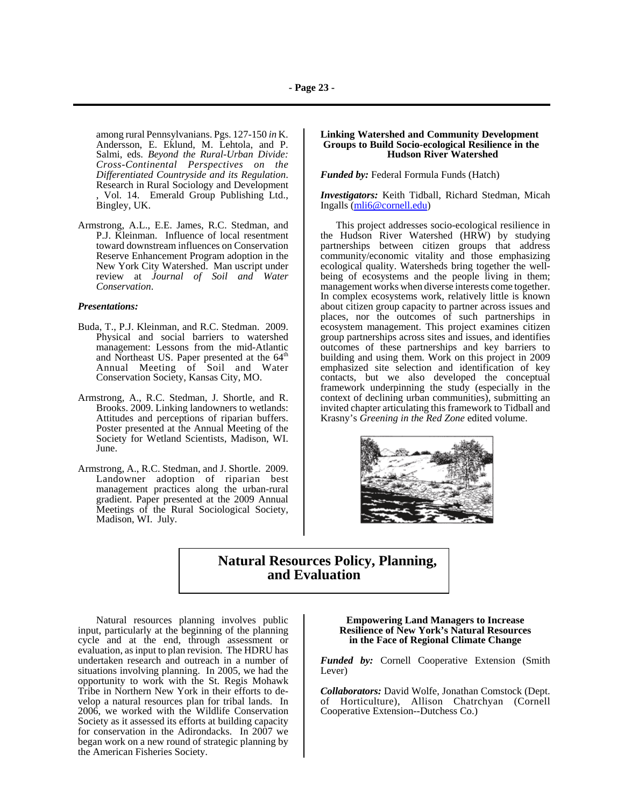among rural Pennsylvanians. Pgs. 127-150 *in* K. Andersson, E. Eklund, M. Lehtola, and P. Salmi, eds. *Beyond the Rural-Urban Divide: Cross-Continental Perspectives on the* **Research in Rural Sociology and Development** , Vol. 14. Emerald Group Publishing Ltd., Bingley, UK.

Armstrong, A.L., E.E. James, R.C. Stedman, and P.J. Kleinman. Influence of local resentment toward downstream influences on Conservation Reserve Enhancement Program adoption in the New York City Watershed. Man uscript under review at *Journal of Soil and Water Conservation*.

#### *Presentations:*

- Buda, T., P.J. Kleinman, and R.C. Stedman. 2009. Physical and social barriers to watershed management: Lessons from the mid-Atlantic and Northeast US. Paper presented at the 64<sup>th</sup> Annual Meeting of Soil and Water Conservation Society, Kansas City, MO.
- Armstrong, A., R.C. Stedman, J. Shortle, and R. Brooks. 2009. Linking landowners to wetlands: Attitudes and perceptions of riparian buffers. Poster presented at the Annual Meeting of the Society for Wetland Scientists, Madison, WI. June.
- Armstrong, A., R.C. Stedman, and J. Shortle. 2009. Landowner adoption of riparian best management practices along the urban-rural gradient. Paper presented at the 2009 Annual Meetings of the Rural Sociological Society, Madison, WI. July.

## **Linking Watershed and Community Development Groups to Build Socio-ecological Resilience in the Hudson River Watershed**

*Funded by:* Federal Formula Funds (Hatch)

*Investigators:* Keith Tidball, Richard Stedman, Micah Ingalls (mli6@cornell.edu)

 This project addresses socio-ecological resilience in the Hudson River Watershed (HRW) by studying partnerships between citizen groups that address community/economic vitality and those emphasizing ecological quality. Watersheds bring together the wellbeing of ecosystems and the people living in them; management works when diverse interests come together. In complex ecosystems work, relatively little is known about citizen group capacity to partner across issues and places, nor the outcomes of such partnerships in ecosystem management. This project examines citizen group partnerships across sites and issues, and identifies outcomes of these partnerships and key barriers to building and using them. Work on this project in 2009 emphasized site selection and identification of key contacts, but we also developed the conceptual framework underpinning the study (especially in the context of declining urban communities), submitting an invited chapter articulating this framework to Tidball and Krasny's *Greening in the Red Zone* edited volume.



# **Natural Resources Policy, Planning, and Evaluation**

Natural resources planning involves public input, particularly at the beginning of the planning cycle and at the end, through assessment or evaluation, as input to plan revision. The HDRU has undertaken research and outreach in a number of situations involving planning. In 2005, we had the opportunity to work with the St. Regis Mohawk Tribe in Northern New York in their efforts to develop a natural resources plan for tribal lands. In 2006, we worked with the Wildlife Conservation Society as it assessed its efforts at building capacity for conservation in the Adirondacks. In 2007 we began work on a new round of strategic planning by the American Fisheries Society.

#### **Empowering Land Managers to Increase Resilience of New York's Natural Resources in the Face of Regional Climate Change**

*Funded by:* Cornell Cooperative Extension (Smith Lever)

*Collaborators:* David Wolfe, Jonathan Comstock (Dept. of Horticulture), Allison Chatrchyan (Cornell Cooperative Extension--Dutchess Co.)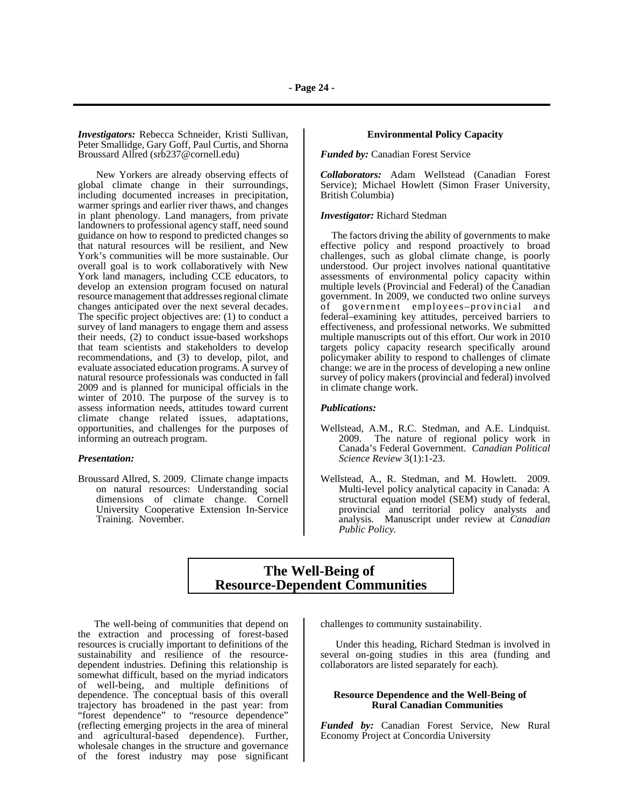*Investigators:* Rebecca Schneider, Kristi Sullivan, Peter Smallidge, Gary Goff, Paul Curtis, and Shorna Broussard Allred (srb237@cornell.edu)

New Yorkers are already observing effects of global climate change in their surroundings, including documented increases in precipitation, warmer springs and earlier river thaws, and changes in plant phenology. Land managers, from private landowners to professional agency staff, need sound guidance on how to respond to predicted changes so that natural resources will be resilient, and New York's communities will be more sustainable. Our overall goal is to work collaboratively with New York land managers, including CCE educators, to develop an extension program focused on natural resource management that addresses regional climate changes anticipated over the next several decades. The specific project objectives are: (1) to conduct a survey of land managers to engage them and assess their needs, (2) to conduct issue-based workshops that team scientists and stakeholders to develop recommendations, and (3) to develop, pilot, and evaluate associated education programs. A survey of natural resource professionals was conducted in fall 2009 and is planned for municipal officials in the winter of 2010. The purpose of the survey is to assess information needs, attitudes toward current climate change related issues, adaptations, opportunities, and challenges for the purposes of informing an outreach program.

#### *Presentation:*

Broussard Allred, S. 2009. Climate change impacts on natural resources: Understanding social dimensions of climate change. Cornell University Cooperative Extension In-Service Training. November.

## **Environmental Policy Capacity**

*Funded by:* Canadian Forest Service

*Collaborators:* Adam Wellstead (Canadian Forest Service); Michael Howlett (Simon Fraser University, British Columbia)

#### *Investigator:* Richard Stedman

 The factors driving the ability of governments to make effective policy and respond proactively to broad challenges, such as global climate change, is poorly understood. Our project involves national quantitative assessments of environmental policy capacity within multiple levels (Provincial and Federal) of the Canadian government. In 2009, we conducted two online surveys of government employees–provincial and federal–examining key attitudes, perceived barriers to effectiveness, and professional networks. We submitted multiple manuscripts out of this effort. Our work in 2010 targets policy capacity research specifically around policymaker ability to respond to challenges of climate change: we are in the process of developing a new online survey of policy makers (provincial and federal) involved in climate change work.

#### *Publications:*

- Wellstead, A.M., R.C. Stedman, and A.E. Lindquist. 2009. The nature of regional policy work in Canada's Federal Government. *Canadian Political Science Review* 3(1):1-23.
- Wellstead, A., R. Stedman, and M. Howlett. 2009. Multi-level policy analytical capacity in Canada: A structural equation model (SEM) study of federal, provincial and territorial policy analysts and analysis. Manuscript under review at *Canadian Public Policy.*

## **The Well-Being of Resource-Dependent Communities**

 The well-being of communities that depend on the extraction and processing of forest-based resources is crucially important to definitions of the sustainability and resilience of the resourcedependent industries. Defining this relationship is somewhat difficult, based on the myriad indicators of well-being, and multiple definitions of dependence. The conceptual basis of this overall trajectory has broadened in the past year: from "forest dependence" to "resource dependence" (reflecting emerging projects in the area of mineral and agricultural-based dependence). Further, wholesale changes in the structure and governance of the forest industry may pose significant challenges to community sustainability.

 Under this heading, Richard Stedman is involved in several on-going studies in this area (funding and collaborators are listed separately for each).

#### **Resource Dependence and the Well-Being of Rural Canadian Communities**

*Funded by:* Canadian Forest Service, New Rural Economy Project at Concordia University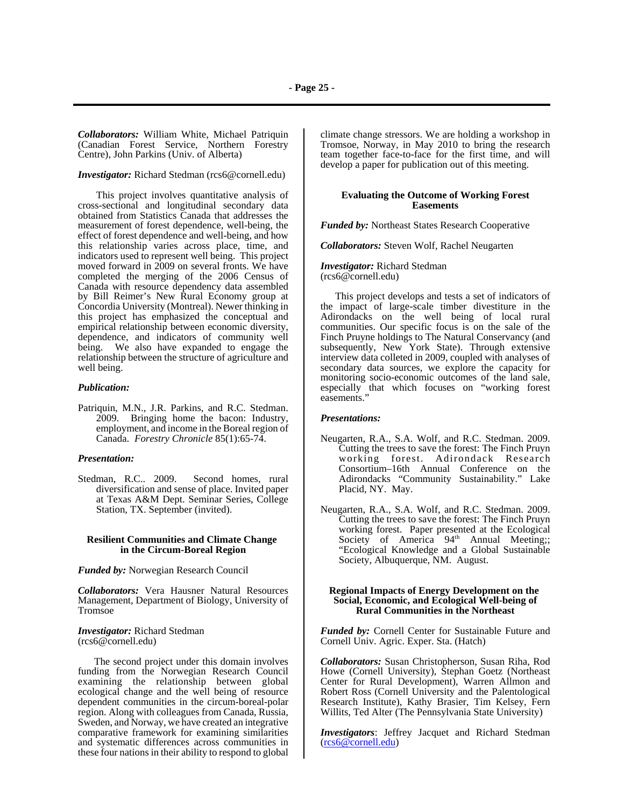*Collaborators:* William White, Michael Patriquin (Canadian Forest Service, Northern Forestry Centre), John Parkins (Univ. of Alberta)

## *Investigator:* Richard Stedman (rcs6@cornell.edu)

This project involves quantitative analysis of cross-sectional and longitudinal secondary data obtained from Statistics Canada that addresses the measurement of forest dependence, well-being, the effect of forest dependence and well-being, and how this relationship varies across place, time, and indicators used to represent well being. This project moved forward in 2009 on several fronts. We have completed the merging of the 2006 Census of Canada with resource dependency data assembled by Bill Reimer's New Rural Economy group at Concordia University (Montreal). Newer thinking in this project has emphasized the conceptual and empirical relationship between economic diversity, dependence, and indicators of community well being. We also have expanded to engage the relationship between the structure of agriculture and well being.

### *Publication:*

Patriquin, M.N., J.R. Parkins, and R.C. Stedman. 2009. Bringing home the bacon: Industry, employment, and income in the Boreal region of Canada. *Forestry Chronicle* 85(1):65-74.

#### *Presentation:*

Stedman, R.C.. 2009. Second homes, rural diversification and sense of place. Invited paper at Texas A&M Dept. Seminar Series, College Station, TX. September (invited).

#### **Resilient Communities and Climate Change in the Circum-Boreal Region**

*Funded by:* Norwegian Research Council

*Collaborators:* Vera Hausner Natural Resources Management, Department of Biology, University of Tromsoe

#### *Investigator:* Richard Stedman (rcs6@cornell.edu)

 The second project under this domain involves funding from the Norwegian Research Council examining the relationship between global ecological change and the well being of resource dependent communities in the circum-boreal-polar region. Along with colleagues from Canada, Russia, Sweden, and Norway, we have created an integrative comparative framework for examining similarities and systematic differences across communities in these four nations in their ability to respond to global climate change stressors. We are holding a workshop in Tromsoe, Norway, in May 2010 to bring the research team together face-to-face for the first time, and will develop a paper for publication out of this meeting.

#### **Evaluating the Outcome of Working Forest Easements**

*Funded by:* Northeast States Research Cooperative

*Collaborators:* Steven Wolf, Rachel Neugarten

*Investigator:* Richard Stedman (rcs6@cornell.edu)

 This project develops and tests a set of indicators of the impact of large-scale timber divestiture in the Adirondacks on the well being of local rural communities. Our specific focus is on the sale of the Finch Pruyne holdings to The Natural Conservancy (and subsequently, New York State). Through extensive interview data colleted in 2009, coupled with analyses of secondary data sources, we explore the capacity for monitoring socio-economic outcomes of the land sale, especially that which focuses on "working forest easements."

#### *Presentations:*

- Neugarten, R.A., S.A. Wolf, and R.C. Stedman. 2009. Cutting the trees to save the forest: The Finch Pruyn working forest. Adirondack Research Consortium–16th Annual Conference on the Adirondacks "Community Sustainability." Lake Placid, NY. May.
- Neugarten, R.A., S.A. Wolf, and R.C. Stedman. 2009. Cutting the trees to save the forest: The Finch Pruyn working forest. Paper presented at the Ecological Society of America 94<sup>th</sup> Annual Meeting;; "Ecological Knowledge and a Global Sustainable Society, Albuquerque, NM. August.

#### **Regional Impacts of Energy Development on the Social, Economic, and Ecological Well-being of Rural Communities in the Northeast**

*Funded by:* Cornell Center for Sustainable Future and Cornell Univ. Agric. Exper. Sta. (Hatch)

*Collaborators:* Susan Christopherson, Susan Riha, Rod Howe (Cornell University), Stephan Goetz (Northeast Center for Rural Development), Warren Allmon and Robert Ross (Cornell University and the Palentological Research Institute), Kathy Brasier, Tim Kelsey, Fern Willits, Ted Alter (The Pennsylvania State University)

*Investigators*: Jeffrey Jacquet and Richard Stedman (rcs6@cornell.edu)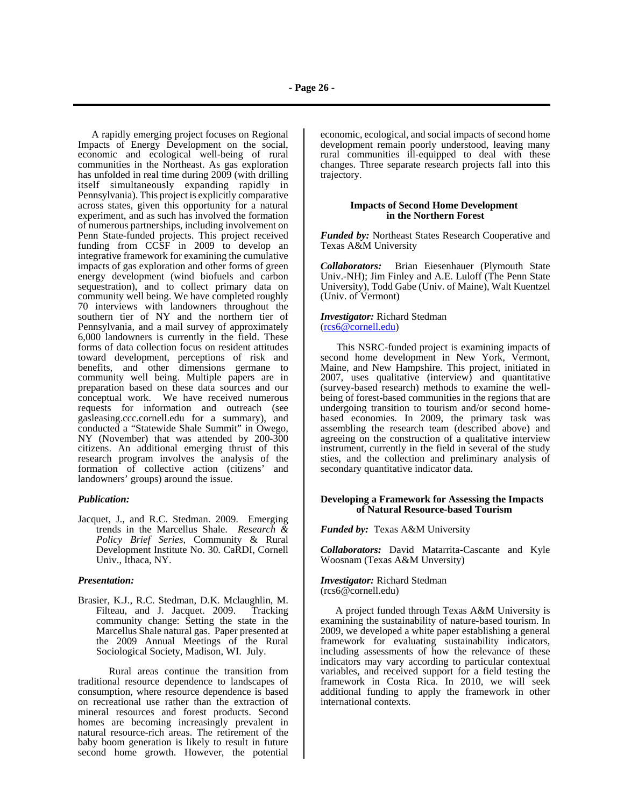**- Page 26 -**

 A rapidly emerging project focuses on Regional Impacts of Energy Development on the social, economic and ecological well-being of rural communities in the Northeast. As gas exploration has unfolded in real time during 2009 (with drilling itself simultaneously expanding rapidly in Pennsylvania). This project is explicitly comparative across states, given this opportunity for a natural experiment, and as such has involved the formation of numerous partnerships, including involvement on Penn State-funded projects. This project received funding from CCSF in 2009 to develop an integrative framework for examining the cumulative impacts of gas exploration and other forms of green energy development (wind biofuels and carbon sequestration), and to collect primary data on community well being. We have completed roughly 70 interviews with landowners throughout the southern tier of NY and the northern tier of Pennsylvania, and a mail survey of approximately 6,000 landowners is currently in the field. These forms of data collection focus on resident attitudes toward development, perceptions of risk and benefits, and other dimensions germane to community well being. Multiple papers are in preparation based on these data sources and our conceptual work. We have received numerous requests for information and outreach (see gasleasing.ccc.cornell.edu for a summary), and conducted a "Statewide Shale Summit" in Owego, NY (November) that was attended by 200-300 citizens. An additional emerging thrust of this research program involves the analysis of the formation of collective action (citizens' and landowners' groups) around the issue.

## *Publication:*

Jacquet, J., and R.C. Stedman. 2009. Emerging trends in the Marcellus Shale. *Research & Policy Brief Series*, Community & Rural Development Institute No. 30. CaRDI, Cornell Univ., Ithaca, NY.

#### *Presentation:*

Brasier, K.J., R.C. Stedman, D.K. Mclaughlin, M. Filteau, and J. Jacquet. 2009. Tracking community change: Setting the state in the Marcellus Shale natural gas. Paper presented at the 2009 Annual Meetings of the Rural Sociological Society, Madison, WI. July.

 Rural areas continue the transition from traditional resource dependence to landscapes of consumption, where resource dependence is based on recreational use rather than the extraction of mineral resources and forest products. Second homes are becoming increasingly prevalent in natural resource-rich areas. The retirement of the baby boom generation is likely to result in future second home growth. However, the potential economic, ecological, and social impacts of second home development remain poorly understood, leaving many rural communities ill-equipped to deal with these changes. Three separate research projects fall into this trajectory.

## **Impacts of Second Home Development in the Northern Forest**

*Funded by:* Northeast States Research Cooperative and Texas A&M University

*Collaborators:* Brian Eiesenhauer (Plymouth State Univ.-NH); Jim Finley and A.E. Luloff (The Penn State University), Todd Gabe (Univ. of Maine), Walt Kuentzel (Univ. of Vermont)

#### *Investigator:* Richard Stedman (rcs6@cornell.edu)

 This NSRC-funded project is examining impacts of second home development in New York, Vermont, Maine, and New Hampshire. This project, initiated in 2007, uses qualitative (interview) and quantitative (survey-based research) methods to examine the wellbeing of forest-based communities in the regions that are undergoing transition to tourism and/or second homebased economies. In 2009, the primary task was assembling the research team (described above) and agreeing on the construction of a qualitative interview instrument, currently in the field in several of the study sties, and the collection and preliminary analysis of secondary quantitative indicator data.

## **Developing a Framework for Assessing the Impacts of Natural Resource-based Tourism**

*Funded by:* Texas A&M University

*Collaborators:* David Matarrita-Cascante and Kyle Woosnam (Texas A&M Unversity)

#### *Investigator:* Richard Stedman (rcs6@cornell.edu)

 A project funded through Texas A&M University is examining the sustainability of nature-based tourism. In 2009, we developed a white paper establishing a general framework for evaluating sustainability indicators, including assessments of how the relevance of these indicators may vary according to particular contextual variables, and received support for a field testing the framework in Costa Rica. In 2010, we will seek additional funding to apply the framework in other international contexts.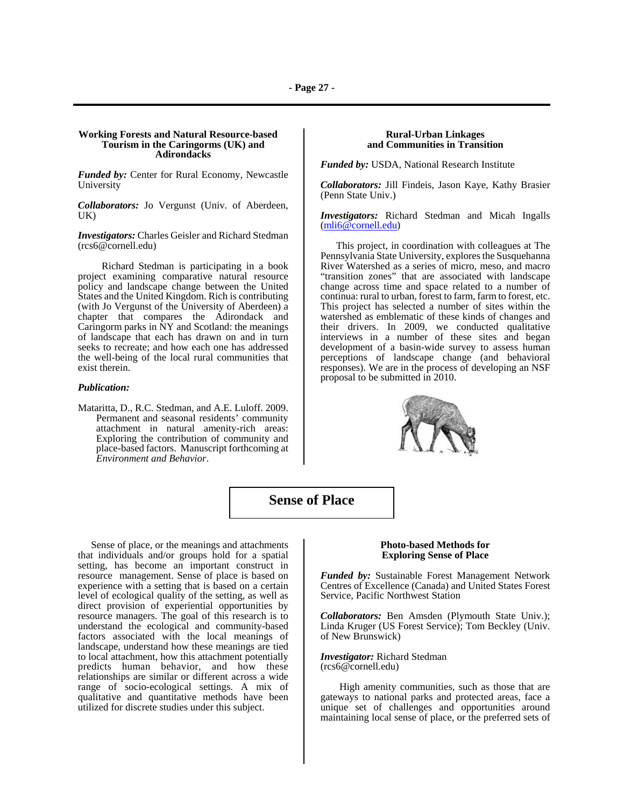#### **Working Forests and Natural Resource-based Tourism in the Caringorms (UK) and Adirondacks**

*Funded by:* Center for Rural Economy, Newcastle University

*Collaborators:* Jo Vergunst (Univ. of Aberdeen, UK)

*Investigators:* Charles Geisler and Richard Stedman (rcs6@cornell.edu)

Richard Stedman is participating in a book project examining comparative natural resource policy and landscape change between the United States and the United Kingdom. Rich is contributing (with Jo Vergunst of the University of Aberdeen) a chapter that compares the Adirondack and Caringorm parks in NY and Scotland: the meanings of landscape that each has drawn on and in turn seeks to recreate; and how each one has addressed the well-being of the local rural communities that exist therein.

#### *Publication:*

Mataritta, D., R.C. Stedman, and A.E. Luloff. 2009. Permanent and seasonal residents' community attachment in natural amenity-rich areas: Exploring the contribution of community and place-based factors. Manuscript forthcoming at *Environment and Behavior*.

## **Rural-Urban Linkages and Communities in Transition**

*Funded by:* USDA, National Research Institute

*Collaborators:* Jill Findeis, Jason Kaye, Kathy Brasier (Penn State Univ.)

*Investigators:* Richard Stedman and Micah Ingalls (mli6@cornell.edu)

 This project, in coordination with colleagues at The Pennsylvania State University, explores the Susquehanna River Watershed as a series of micro, meso, and macro "transition zones" that are associated with landscape change across time and space related to a number of continua: rural to urban, forest to farm, farm to forest, etc. This project has selected a number of sites within the watershed as emblematic of these kinds of changes and their drivers. In 2009, we conducted qualitative interviews in a number of these sites and began development of a basin-wide survey to assess human perceptions of landscape change (and behavioral responses). We are in the process of developing an NSF proposal to be submitted in 2010.



## **Sense of Place**

 Sense of place, or the meanings and attachments that individuals and/or groups hold for a spatial setting, has become an important construct in resource management. Sense of place is based on experience with a setting that is based on a certain level of ecological quality of the setting, as well as direct provision of experiential opportunities by resource managers. The goal of this research is to understand the ecological and community-based factors associated with the local meanings of landscape, understand how these meanings are tied to local attachment, how this attachment potentially predicts human behavior, and how these relationships are similar or different across a wide range of socio-ecological settings. A mix of qualitative and quantitative methods have been utilized for discrete studies under this subject.

#### **Photo-based Methods for Exploring Sense of Place**

*Funded by:* Sustainable Forest Management Network Centres of Excellence (Canada) and United States Forest Service, Pacific Northwest Station

*Collaborators:* Ben Amsden (Plymouth State Univ.); Linda Kruger (US Forest Service); Tom Beckley (Univ. of New Brunswick)

*Investigator:* Richard Stedman (rcs6@cornell.edu)

 High amenity communities, such as those that are gateways to national parks and protected areas, face a unique set of challenges and opportunities around maintaining local sense of place, or the preferred sets of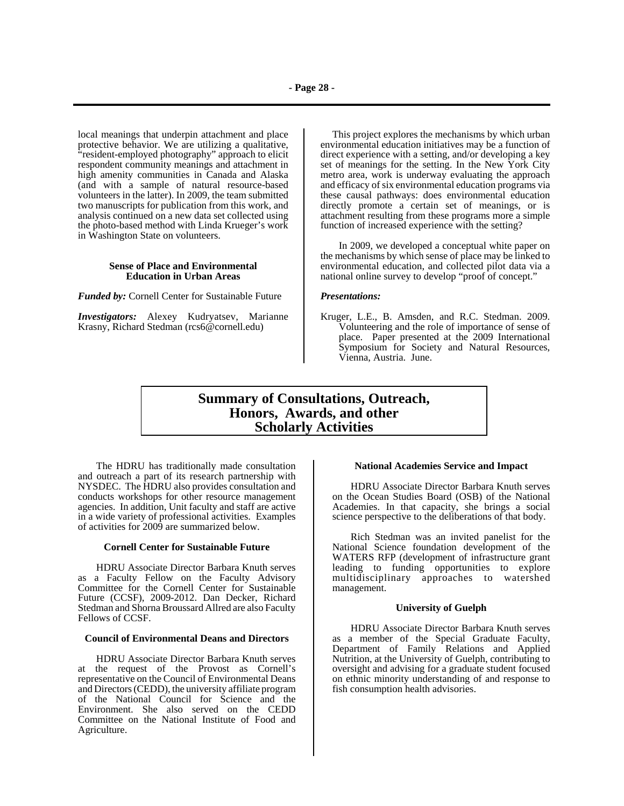local meanings that underpin attachment and place protective behavior. We are utilizing a qualitative, "resident-employed photography" approach to elicit respondent community meanings and attachment in high amenity communities in Canada and Alaska (and with a sample of natural resource-based volunteers in the latter). In 2009, the team submitted two manuscripts for publication from this work, and analysis continued on a new data set collected using the photo-based method with Linda Krueger's work in Washington State on volunteers.

#### **Sense of Place and Environmental Education in Urban Areas**

*Funded by:* Cornell Center for Sustainable Future

*Investigators:* Alexey Kudryatsev, Marianne Krasny, Richard Stedman (rcs6@cornell.edu)

 This project explores the mechanisms by which urban environmental education initiatives may be a function of direct experience with a setting, and/or developing a key set of meanings for the setting. In the New York City metro area, work is underway evaluating the approach and efficacy of six environmental education programs via these causal pathways: does environmental education directly promote a certain set of meanings, or is attachment resulting from these programs more a simple function of increased experience with the setting?

In 2009, we developed a conceptual white paper on the mechanisms by which sense of place may be linked to environmental education, and collected pilot data via a national online survey to develop "proof of concept."

#### *Presentations:*

Kruger, L.E., B. Amsden, and R.C. Stedman. 2009. Volunteering and the role of importance of sense of place. Paper presented at the 2009 International Symposium for Society and Natural Resources, Vienna, Austria. June.

## **Summary of Consultations, Outreach, Honors, Awards, and other Scholarly Activities**

The HDRU has traditionally made consultation and outreach a part of its research partnership with NYSDEC. The HDRU also provides consultation and conducts workshops for other resource management agencies. In addition, Unit faculty and staff are active in a wide variety of professional activities. Examples of activities for 2009 are summarized below.

#### **Cornell Center for Sustainable Future**

HDRU Associate Director Barbara Knuth serves as a Faculty Fellow on the Faculty Advisory Committee for the Cornell Center for Sustainable Future (CCSF), 2009-2012. Dan Decker, Richard Stedman and Shorna Broussard Allred are also Faculty Fellows of CCSF.

#### **Council of Environmental Deans and Directors**

HDRU Associate Director Barbara Knuth serves at the request of the Provost as Cornell's representative on the Council of Environmental Deans and Directors (CEDD), the university affiliate program of the National Council for Science and the Environment. She also served on the CEDD Committee on the National Institute of Food and Agriculture.

## **National Academies Service and Impact**

HDRU Associate Director Barbara Knuth serves on the Ocean Studies Board (OSB) of the National Academies. In that capacity, she brings a social science perspective to the deliberations of that body.

Rich Stedman was an invited panelist for the National Science foundation development of the WATERS RFP (development of infrastructure grant leading to funding opportunities to explore multidisciplinary approaches to watershed management.

#### **University of Guelph**

HDRU Associate Director Barbara Knuth serves as a member of the Special Graduate Faculty, Department of Family Relations and Applied Nutrition, at the University of Guelph, contributing to oversight and advising for a graduate student focused on ethnic minority understanding of and response to fish consumption health advisories.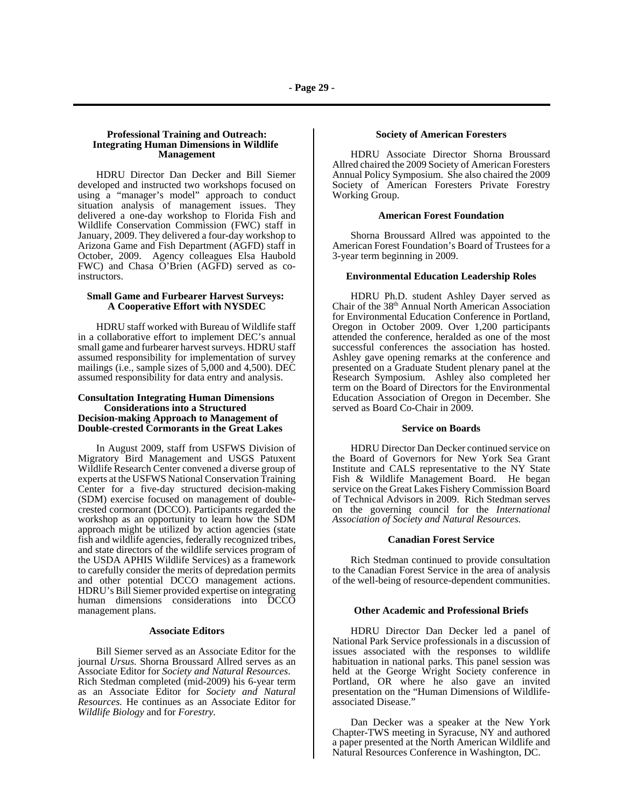#### **Professional Training and Outreach: Integrating Human Dimensions in Wildlife Management**

HDRU Director Dan Decker and Bill Siemer developed and instructed two workshops focused on using a "manager's model" approach to conduct situation analysis of management issues. They delivered a one-day workshop to Florida Fish and Wildlife Conservation Commission (FWC) staff in January, 2009. They delivered a four-day workshop to Arizona Game and Fish Department (AGFD) staff in October, 2009. Agency colleagues Elsa Haubold FWC) and Chasa O'Brien (AGFD) served as coinstructors.

#### **Small Game and Furbearer Harvest Surveys: A Cooperative Effort with NYSDEC**

HDRU staff worked with Bureau of Wildlife staff in a collaborative effort to implement DEC's annual small game and furbearer harvest surveys. HDRU staff assumed responsibility for implementation of survey mailings (i.e., sample sizes of 5,000 and 4,500). DEC assumed responsibility for data entry and analysis.

## **Consultation Integrating Human Dimensions Decision-making Approach to Management of Double-crested Cormorants in the Great Lakes**

In August 2009, staff from USFWS Division of Migratory Bird Management and USGS Patuxent Wildlife Research Center convened a diverse group of experts at the USFWS National Conservation Training Center for a five-day structured decision-making (SDM) exercise focused on management of doublecrested cormorant (DCCO). Participants regarded the workshop as an opportunity to learn how the SDM approach might be utilized by action agencies (state fish and wildlife agencies, federally recognized tribes, and state directors of the wildlife services program of the USDA APHIS Wildlife Services) as a framework to carefully consider the merits of depredation permits and other potential DCCO management actions. HDRU's Bill Siemer provided expertise on integrating human dimensions considerations into DCCO management plans.

#### **Associate Editors**

Bill Siemer served as an Associate Editor for the journal *Ursus.* Shorna Broussard Allred serves as an Associate Editor for *Society and Natural Resources*. Rich Stedman completed (mid-2009) his 6-year term as an Associate Editor for *Society and Natural Resources.* He continues as an Associate Editor for *Wildlife Biology* and for *Forestry.*

#### **Society of American Foresters**

HDRU Associate Director Shorna Broussard Allred chaired the 2009 Society of American Foresters Annual Policy Symposium. She also chaired the 2009 Society of American Foresters Private Forestry Working Group.

#### **American Forest Foundation**

Shorna Broussard Allred was appointed to the American Forest Foundation's Board of Trustees for a 3-year term beginning in 2009.

#### **Environmental Education Leadership Roles**

HDRU Ph.D. student Ashley Dayer served as Chair of the 38th Annual North American Association for Environmental Education Conference in Portland, Oregon in October 2009. Over 1,200 participants attended the conference, heralded as one of the most successful conferences the association has hosted. Ashley gave opening remarks at the conference and presented on a Graduate Student plenary panel at the Research Symposium. Ashley also completed her term on the Board of Directors for the Environmental Education Association of Oregon in December. She served as Board Co-Chair in 2009.

#### **Service on Boards**

HDRU Director Dan Decker continued service on the Board of Governors for New York Sea Grant Institute and CALS representative to the NY State Fish & Wildlife Management Board. He began service on the Great Lakes Fishery Commission Board of Technical Advisors in 2009. Rich Stedman serves on the governing council for the *International Association of Society and Natural Resources.*

#### **Canadian Forest Service**

Rich Stedman continued to provide consultation to the Canadian Forest Service in the area of analysis of the well-being of resource-dependent communities.

#### **Other Academic and Professional Briefs**

HDRU Director Dan Decker led a panel of National Park Service professionals in a discussion of issues associated with the responses to wildlife habituation in national parks. This panel session was held at the George Wright Society conference in Portland, OR where he also gave an invited presentation on the "Human Dimensions of Wildlifeassociated Disease."

Dan Decker was a speaker at the New York Chapter-TWS meeting in Syracuse, NY and authored a paper presented at the North American Wildlife and Natural Resources Conference in Washington, DC.